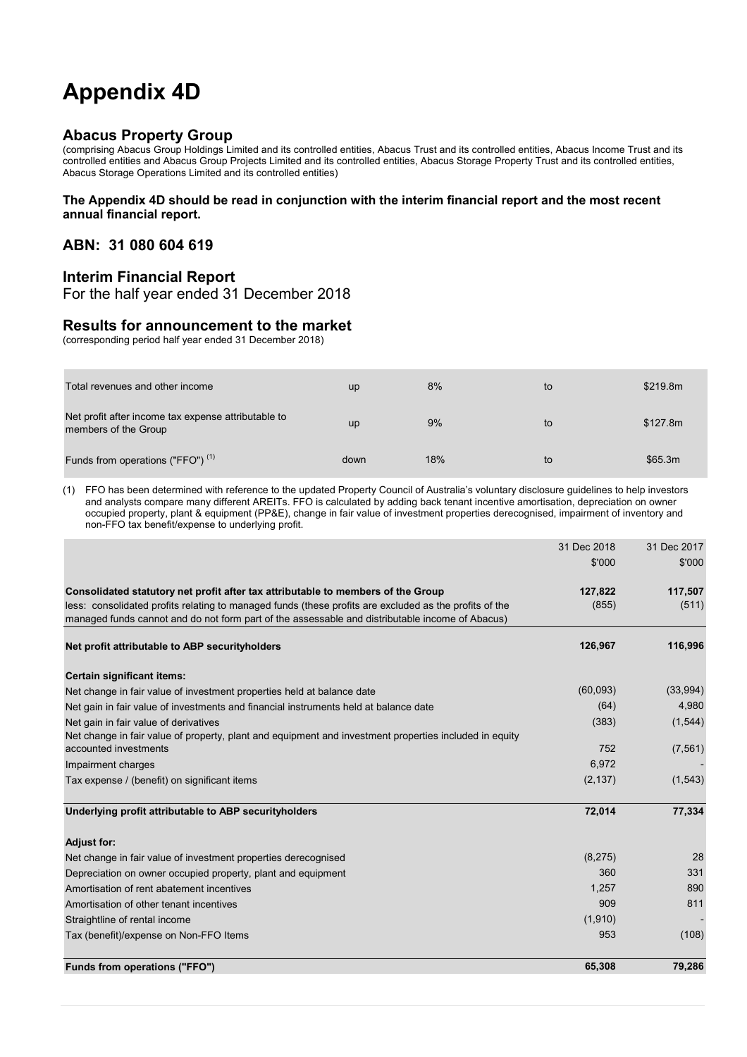## **Appendix 4D**

#### **Abacus Property Group**

(comprising Abacus Group Holdings Limited and its controlled entities, Abacus Trust and its controlled entities, Abacus Income Trust and its controlled entities and Abacus Group Projects Limited and its controlled entities, Abacus Storage Property Trust and its controlled entities, Abacus Storage Operations Limited and its controlled entities)

#### **The Appendix 4D should be read in conjunction with the interim financial report and the most recent annual financial report.**

#### **ABN: 31 080 604 619**

#### **Interim Financial Report**

For the half year ended 31 December 2018

#### **Results for announcement to the market**

(corresponding period half year ended 31 December 2018)

| Total revenues and other income                                             | <b>up</b> | 8%  | to | \$219.8m |
|-----------------------------------------------------------------------------|-----------|-----|----|----------|
| Net profit after income tax expense attributable to<br>members of the Group | <b>up</b> | 9%  | to | \$127.8m |
| Funds from operations ("FFO") <sup>(1)</sup>                                | down      | 18% | to | \$65.3m  |

(1) FFO has been determined with reference to the updated Property Council of Australia's voluntary disclosure guidelines to help investors and analysts compare many different AREITs. FFO is calculated by adding back tenant incentive amortisation, depreciation on owner occupied property, plant & equipment (PP&E), change in fair value of investment properties derecognised, impairment of inventory and non-FFO tax benefit/expense to underlying profit.

|                                                                                                                                 | 31 Dec 2018 | 31 Dec 2017 |
|---------------------------------------------------------------------------------------------------------------------------------|-------------|-------------|
|                                                                                                                                 | \$'000      | \$'000      |
| Consolidated statutory net profit after tax attributable to members of the Group                                                | 127,822     | 117,507     |
| less: consolidated profits relating to managed funds (these profits are excluded as the profits of the                          | (855)       | (511)       |
| managed funds cannot and do not form part of the assessable and distributable income of Abacus)                                 |             |             |
| Net profit attributable to ABP security holders                                                                                 | 126,967     | 116,996     |
| Certain significant items:                                                                                                      |             |             |
| Net change in fair value of investment properties held at balance date                                                          | (60,093)    | (33,994)    |
| Net gain in fair value of investments and financial instruments held at balance date                                            | (64)        | 4,980       |
| Net gain in fair value of derivatives                                                                                           | (383)       | (1, 544)    |
| Net change in fair value of property, plant and equipment and investment properties included in equity<br>accounted investments | 752         | (7, 561)    |
| Impairment charges                                                                                                              | 6,972       |             |
| Tax expense / (benefit) on significant items                                                                                    | (2, 137)    | (1, 543)    |
| Underlying profit attributable to ABP securityholders                                                                           | 72,014      | 77,334      |
| <b>Adjust for:</b>                                                                                                              |             |             |
| Net change in fair value of investment properties derecognised                                                                  | (8,275)     | 28          |
| Depreciation on owner occupied property, plant and equipment                                                                    | 360         | 331         |
| Amortisation of rent abatement incentives                                                                                       | 1.257       | 890         |
| Amortisation of other tenant incentives                                                                                         | 909         | 811         |
| Straightline of rental income                                                                                                   | (1,910)     |             |
| Tax (benefit)/expense on Non-FFO Items                                                                                          | 953         | (108)       |
| Funds from operations ("FFO")                                                                                                   | 65,308      | 79,286      |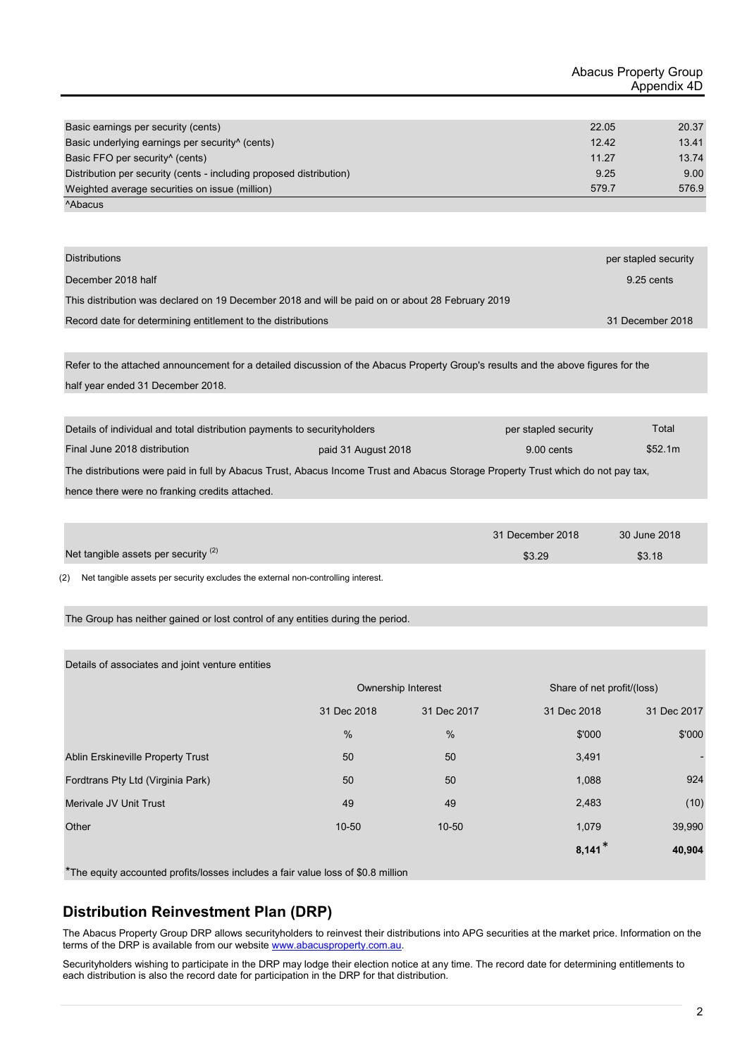| Basic earnings per security (cents)                                 | 22.05 | 20.37 |
|---------------------------------------------------------------------|-------|-------|
| Basic underlying earnings per security <sup>^</sup> (cents)         | 12.42 | 13.41 |
| Basic FFO per security <sup>^</sup> (cents)                         | 11.27 | 13.74 |
| Distribution per security (cents - including proposed distribution) | 9.25  | 9.00  |
| Weighted average securities on issue (million)                      | 579.7 | 576.9 |
| <sup>A</sup> Abacus                                                 |       |       |

| <b>Distributions</b>                                                                                                              | per stapled security |
|-----------------------------------------------------------------------------------------------------------------------------------|----------------------|
| December 2018 half                                                                                                                | 9.25 cents           |
| This distribution was declared on 19 December 2018 and will be paid on or about 28 February 2019                                  |                      |
| Record date for determining entitlement to the distributions                                                                      | 31 December 2018     |
|                                                                                                                                   |                      |
| Refer to the attached announcement for a detailed discussion of the Abacus Property Group's results and the above figures for the |                      |
| half year ended 31 December 2018.                                                                                                 |                      |
|                                                                                                                                   |                      |

| Details of individual and total distribution payments to security holders                                                        |                     | per stapled security | Total   |  |
|----------------------------------------------------------------------------------------------------------------------------------|---------------------|----------------------|---------|--|
| Final June 2018 distribution                                                                                                     | paid 31 August 2018 | 9.00 cents           | \$52.1m |  |
| The distributions were paid in full by Abacus Trust, Abacus Income Trust and Abacus Storage Property Trust which do not pay tax, |                     |                      |         |  |
| honeo there were no franking crodite attached                                                                                    |                     |                      |         |  |

hence there were no franking credits attached.

|                                      | 31 December 2018 | 30 June 2018 |
|--------------------------------------|------------------|--------------|
| Net tangible assets per security (2) | \$3.29           | \$3.18       |
|                                      |                  |              |

(2) Net tangible assets per security excludes the external non-controlling interest.

The Group has neither gained or lost control of any entities during the period.

Details of associates and joint venture entities

|                                   | Ownership Interest |               | Share of net profit/(loss) |             |
|-----------------------------------|--------------------|---------------|----------------------------|-------------|
|                                   | 31 Dec 2018        | 31 Dec 2017   | 31 Dec 2018                | 31 Dec 2017 |
|                                   | $\frac{0}{0}$      | $\frac{0}{0}$ | \$'000                     | \$'000      |
| Ablin Erskineville Property Trust | 50                 | 50            | 3,491                      |             |
| Fordtrans Pty Ltd (Virginia Park) | 50                 | 50            | 1,088                      | 924         |
| Merivale JV Unit Trust            | 49                 | 49            | 2,483                      | (10)        |
| Other                             | $10 - 50$          | $10 - 50$     | 1,079                      | 39,990      |
|                                   |                    |               | $8,141*$                   | 40,904      |

\*The equity accounted profits/losses includes a fair value loss of \$0.8 million

#### **Distribution Reinvestment Plan (DRP)**

The Abacus Property Group DRP allows securityholders to reinvest their distributions into APG securities at the market price. Information on the terms of the DRP is available from our website www.abacusproperty.com.au.

Securityholders wishing to participate in the DRP may lodge their election notice at any time. The record date for determining entitlements to each distribution is also the record date for participation in the DRP for that distribution.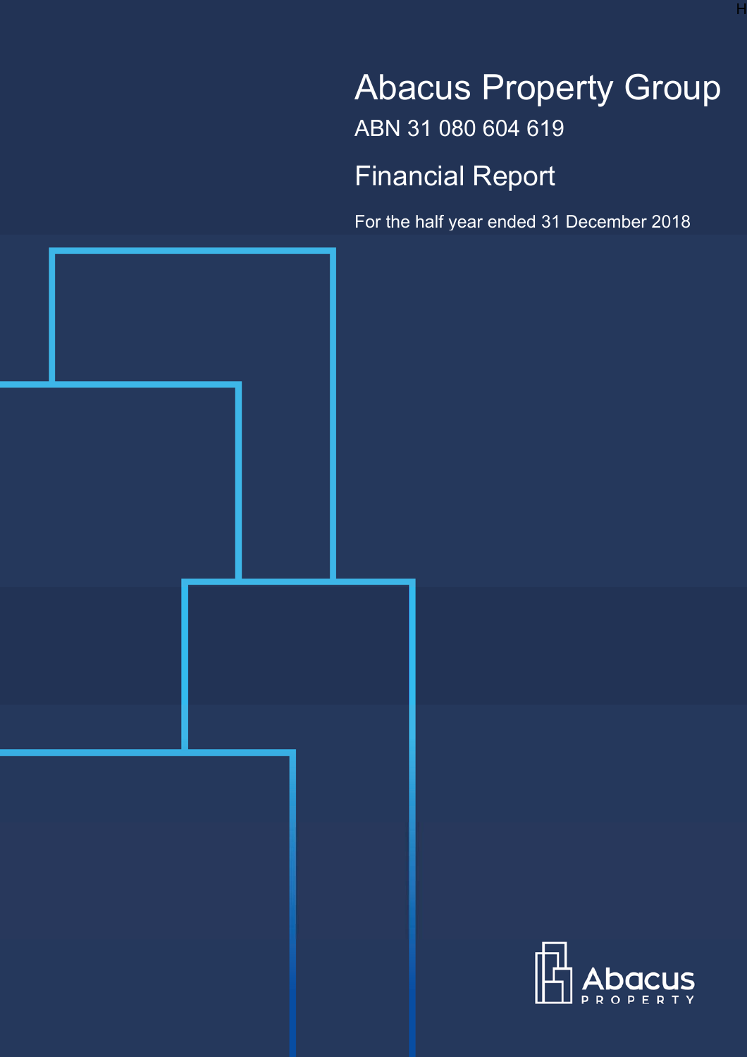# Abacus Property Group ABN 31 080 604 619

H

Financial Report

For the half year ended 31 December 2018



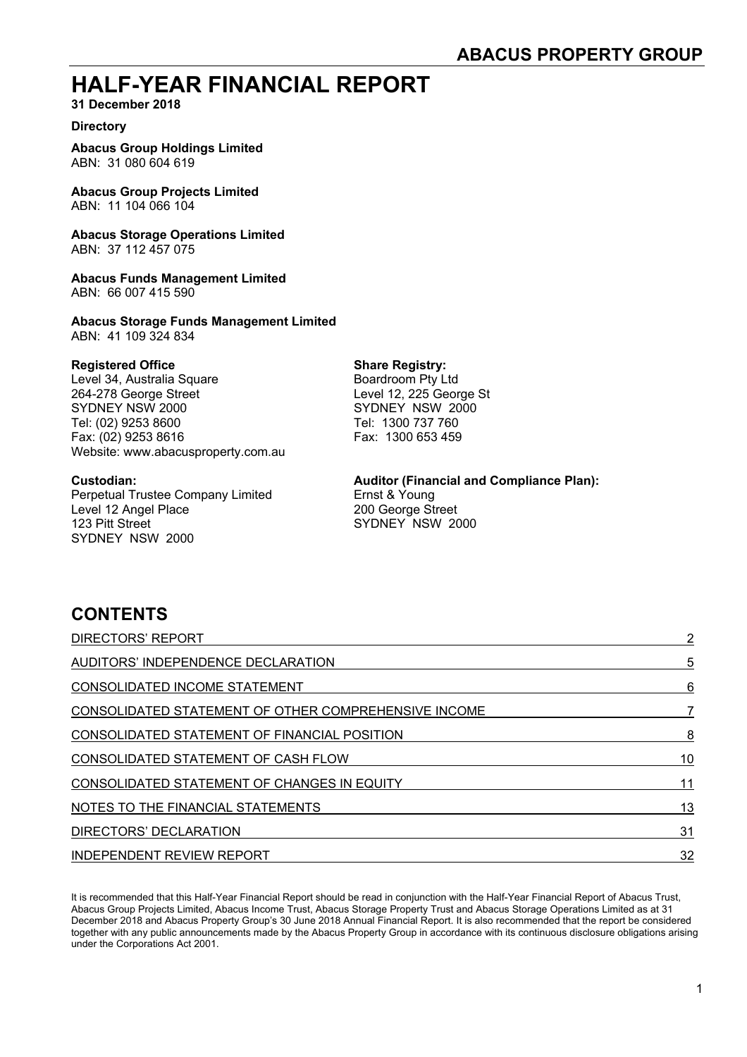### **HALF-YEAR FINANCIAL REPORT**

**31 December 2018** 

#### **Directory**

**Abacus Group Holdings Limited**  ABN: 31 080 604 619

**Abacus Group Projects Limited**  ABN: 11 104 066 104

**Abacus Storage Operations Limited**  ABN: 37 112 457 075

**Abacus Funds Management Limited**  ABN: 66 007 415 590

**Abacus Storage Funds Management Limited** ABN: 41 109 324 834

**Registered Office**<br>
Level 34, Australia Square<br>
Boardroom Pty Ltd Level 34, Australia Square 264-278 George Street Level 12, 225 George St SYDNEY NSW 2000 SYDNEY NSW 2000 Tel: (02) 9253 8600 Tel: 1300 737 760 Fax: (02) 9253 8616 Fax: 1300 653 459 Website: www.abacusproperty.com.au

Perpetual Trustee Company Limited Ernst & Young Level 12 Angel Place 200 George Street 123 Pitt Street Street Street SYDNEY NSW 2000 SYDNEY NSW 2000

#### **Custodian: Auditor (Financial and Compliance Plan):**

### **CONTENTS**

| <b>DIRECTORS' REPORT</b>                             | 2  |
|------------------------------------------------------|----|
| AUDITORS' INDEPENDENCE DECLARATION                   | 5  |
| CONSOLIDATED INCOME STATEMENT                        | 6  |
| CONSOLIDATED STATEMENT OF OTHER COMPREHENSIVE INCOME |    |
| CONSOLIDATED STATEMENT OF FINANCIAL POSITION         | 8  |
| CONSOLIDATED STATEMENT OF CASH FLOW                  | 10 |
| CONSOLIDATED STATEMENT OF CHANGES IN EQUITY          | 11 |
| NOTES TO THE FINANCIAL STATEMENTS                    | 13 |
| DIRECTORS' DECLARATION                               | 31 |
| <b>INDEPENDENT REVIEW REPORT</b>                     | 32 |

It is recommended that this Half-Year Financial Report should be read in conjunction with the Half-Year Financial Report of Abacus Trust, Abacus Group Projects Limited, Abacus Income Trust, Abacus Storage Property Trust and Abacus Storage Operations Limited as at 31 December 2018 and Abacus Property Group's 30 June 2018 Annual Financial Report. It is also recommended that the report be considered together with any public announcements made by the Abacus Property Group in accordance with its continuous disclosure obligations arising under the Corporations Act 2001.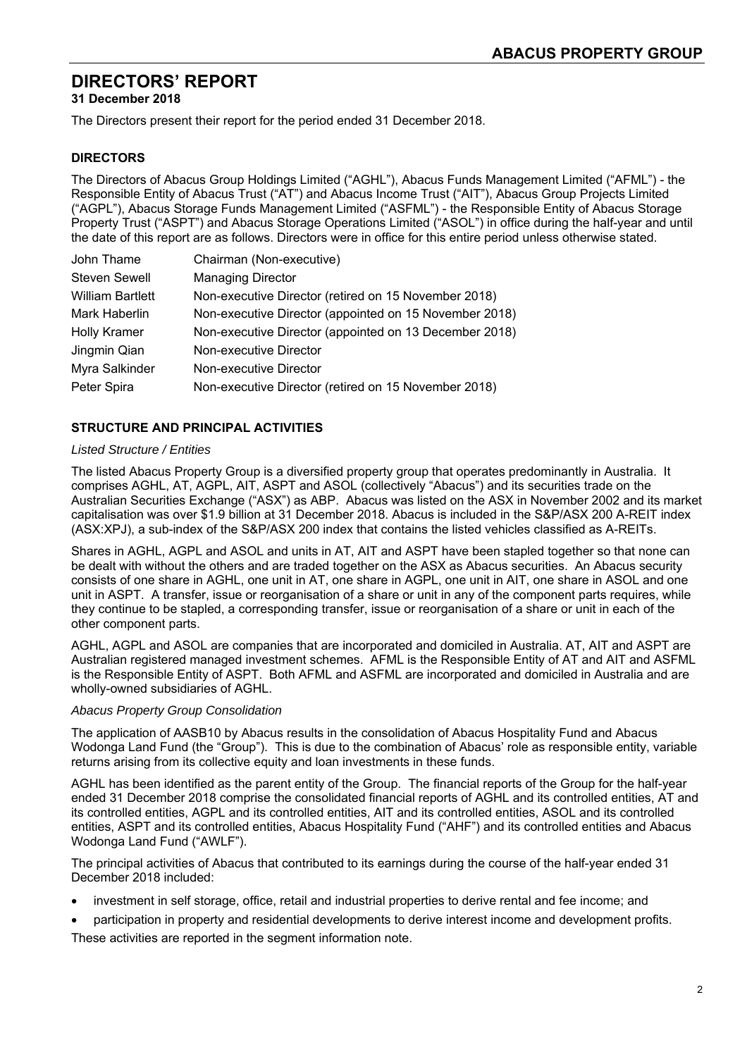### **DIRECTORS' REPORT**

**31 December 2018** 

The Directors present their report for the period ended 31 December 2018.

#### **DIRECTORS**

The Directors of Abacus Group Holdings Limited ("AGHL"), Abacus Funds Management Limited ("AFML") - the Responsible Entity of Abacus Trust ("AT") and Abacus Income Trust ("AIT"), Abacus Group Projects Limited ("AGPL"), Abacus Storage Funds Management Limited ("ASFML") - the Responsible Entity of Abacus Storage Property Trust ("ASPT") and Abacus Storage Operations Limited ("ASOL") in office during the half-year and until the date of this report are as follows. Directors were in office for this entire period unless otherwise stated.

| John Thame              | Chairman (Non-executive)                               |
|-------------------------|--------------------------------------------------------|
| <b>Steven Sewell</b>    | <b>Managing Director</b>                               |
| <b>William Bartlett</b> | Non-executive Director (retired on 15 November 2018)   |
| Mark Haberlin           | Non-executive Director (appointed on 15 November 2018) |
| <b>Holly Kramer</b>     | Non-executive Director (appointed on 13 December 2018) |
| Jingmin Qian            | Non-executive Director                                 |
| Myra Salkinder          | Non-executive Director                                 |
| Peter Spira             | Non-executive Director (retired on 15 November 2018)   |

#### **STRUCTURE AND PRINCIPAL ACTIVITIES**

#### *Listed Structure / Entities*

The listed Abacus Property Group is a diversified property group that operates predominantly in Australia. It comprises AGHL, AT, AGPL, AIT, ASPT and ASOL (collectively "Abacus") and its securities trade on the Australian Securities Exchange ("ASX") as ABP. Abacus was listed on the ASX in November 2002 and its market capitalisation was over \$1.9 billion at 31 December 2018. Abacus is included in the S&P/ASX 200 A-REIT index (ASX:XPJ), a sub-index of the S&P/ASX 200 index that contains the listed vehicles classified as A-REITs.

Shares in AGHL, AGPL and ASOL and units in AT, AIT and ASPT have been stapled together so that none can be dealt with without the others and are traded together on the ASX as Abacus securities. An Abacus security consists of one share in AGHL, one unit in AT, one share in AGPL, one unit in AIT, one share in ASOL and one unit in ASPT. A transfer, issue or reorganisation of a share or unit in any of the component parts requires, while they continue to be stapled, a corresponding transfer, issue or reorganisation of a share or unit in each of the other component parts.

AGHL, AGPL and ASOL are companies that are incorporated and domiciled in Australia. AT, AIT and ASPT are Australian registered managed investment schemes. AFML is the Responsible Entity of AT and AIT and ASFML is the Responsible Entity of ASPT. Both AFML and ASFML are incorporated and domiciled in Australia and are wholly-owned subsidiaries of AGHL.

#### *Abacus Property Group Consolidation*

The application of AASB10 by Abacus results in the consolidation of Abacus Hospitality Fund and Abacus Wodonga Land Fund (the "Group"). This is due to the combination of Abacus' role as responsible entity, variable returns arising from its collective equity and loan investments in these funds.

AGHL has been identified as the parent entity of the Group. The financial reports of the Group for the half-year ended 31 December 2018 comprise the consolidated financial reports of AGHL and its controlled entities, AT and its controlled entities, AGPL and its controlled entities, AIT and its controlled entities, ASOL and its controlled entities, ASPT and its controlled entities, Abacus Hospitality Fund ("AHF") and its controlled entities and Abacus Wodonga Land Fund ("AWLF").

The principal activities of Abacus that contributed to its earnings during the course of the half-year ended 31 December 2018 included:

- investment in self storage, office, retail and industrial properties to derive rental and fee income; and
- participation in property and residential developments to derive interest income and development profits. These activities are reported in the segment information note.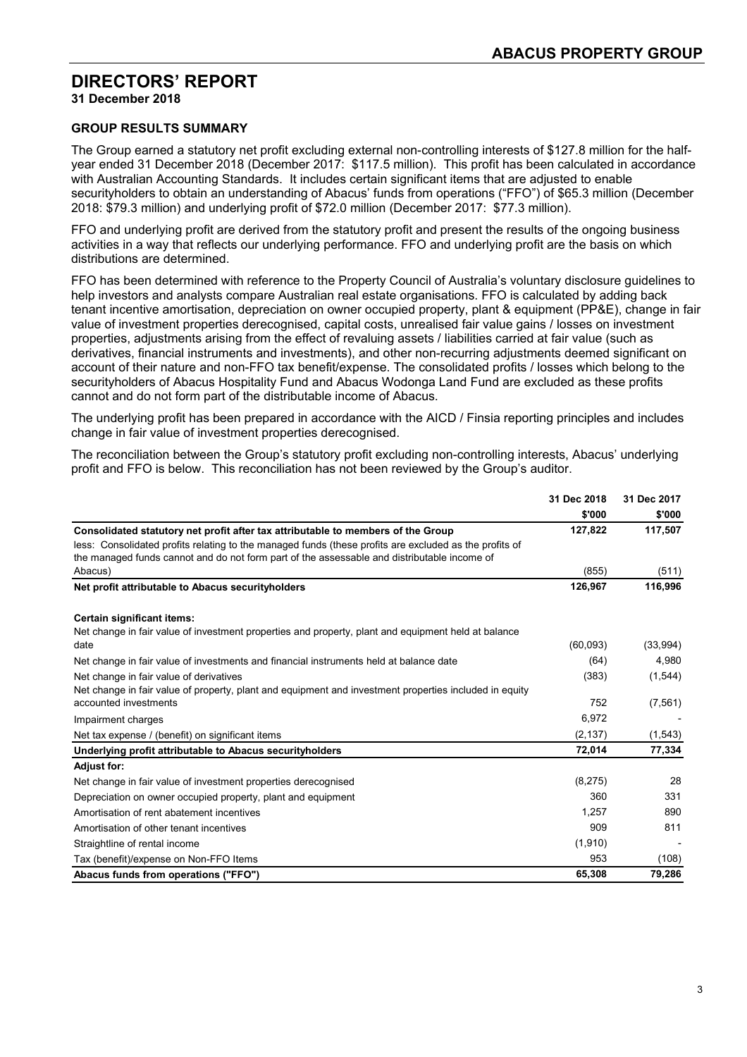### **DIRECTORS' REPORT**

**31 December 2018** 

#### **GROUP RESULTS SUMMARY**

The Group earned a statutory net profit excluding external non-controlling interests of \$127.8 million for the halfyear ended 31 December 2018 (December 2017: \$117.5 million). This profit has been calculated in accordance with Australian Accounting Standards. It includes certain significant items that are adjusted to enable securityholders to obtain an understanding of Abacus' funds from operations ("FFO") of \$65.3 million (December 2018: \$79.3 million) and underlying profit of \$72.0 million (December 2017: \$77.3 million).

FFO and underlying profit are derived from the statutory profit and present the results of the ongoing business activities in a way that reflects our underlying performance. FFO and underlying profit are the basis on which distributions are determined.

FFO has been determined with reference to the Property Council of Australia's voluntary disclosure guidelines to help investors and analysts compare Australian real estate organisations. FFO is calculated by adding back tenant incentive amortisation, depreciation on owner occupied property, plant & equipment (PP&E), change in fair value of investment properties derecognised, capital costs, unrealised fair value gains / losses on investment properties, adjustments arising from the effect of revaluing assets / liabilities carried at fair value (such as derivatives, financial instruments and investments), and other non-recurring adjustments deemed significant on account of their nature and non-FFO tax benefit/expense. The consolidated profits / losses which belong to the securityholders of Abacus Hospitality Fund and Abacus Wodonga Land Fund are excluded as these profits cannot and do not form part of the distributable income of Abacus.

The underlying profit has been prepared in accordance with the AICD / Finsia reporting principles and includes change in fair value of investment properties derecognised.

The reconciliation between the Group's statutory profit excluding non-controlling interests, Abacus' underlying profit and FFO is below. This reconciliation has not been reviewed by the Group's auditor.

|                                                                                                        | 31 Dec 2018 | 31 Dec 2017 |
|--------------------------------------------------------------------------------------------------------|-------------|-------------|
|                                                                                                        | \$'000      | \$'000      |
| Consolidated statutory net profit after tax attributable to members of the Group                       | 127,822     | 117,507     |
| less: Consolidated profits relating to the managed funds (these profits are excluded as the profits of |             |             |
| the managed funds cannot and do not form part of the assessable and distributable income of            |             |             |
| Abacus)                                                                                                | (855)       | (511)       |
| Net profit attributable to Abacus securityholders                                                      | 126,967     | 116,996     |
| Certain significant items:                                                                             |             |             |
| Net change in fair value of investment properties and property, plant and equipment held at balance    |             |             |
| date                                                                                                   | (60,093)    | (33,994)    |
| Net change in fair value of investments and financial instruments held at balance date                 | (64)        | 4,980       |
| Net change in fair value of derivatives                                                                | (383)       | (1, 544)    |
| Net change in fair value of property, plant and equipment and investment properties included in equity |             |             |
| accounted investments                                                                                  | 752         | (7, 561)    |
| Impairment charges                                                                                     | 6,972       |             |
| Net tax expense / (benefit) on significant items                                                       | (2, 137)    | (1, 543)    |
| Underlying profit attributable to Abacus securityholders                                               | 72,014      | 77,334      |
| <b>Adjust for:</b>                                                                                     |             |             |
| Net change in fair value of investment properties derecognised                                         | (8,275)     | 28          |
| Depreciation on owner occupied property, plant and equipment                                           | 360         | 331         |
| Amortisation of rent abatement incentives                                                              | 1,257       | 890         |
| Amortisation of other tenant incentives                                                                | 909         | 811         |
| Straightline of rental income                                                                          | (1,910)     |             |
| Tax (benefit)/expense on Non-FFO Items                                                                 | 953         | (108)       |
| Abacus funds from operations ("FFO")                                                                   | 65,308      | 79,286      |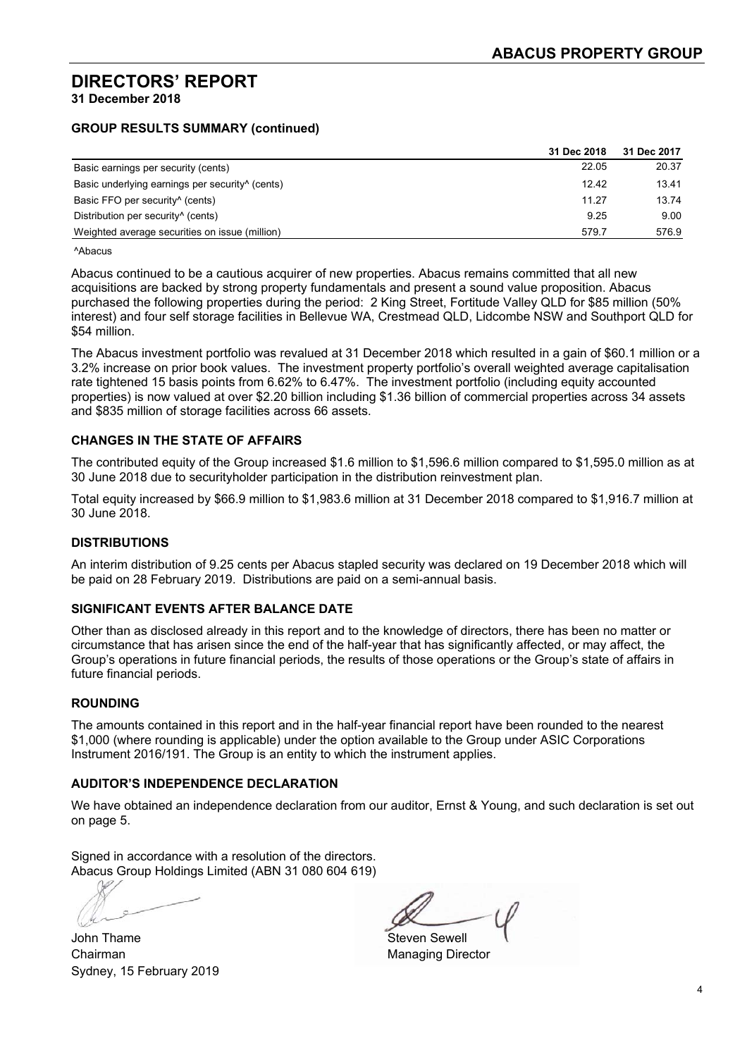#### **DIRECTORS' REPORT 31 December 2018**

#### **GROUP RESULTS SUMMARY (continued)**

|                                                             | 31 Dec 2018 | 31 Dec 2017 |
|-------------------------------------------------------------|-------------|-------------|
| Basic earnings per security (cents)                         | 22.05       | 20.37       |
| Basic underlying earnings per security <sup>^</sup> (cents) | 12.42       | 13.41       |
| Basic FFO per security <sup>^</sup> (cents)                 | 11.27       | 13.74       |
| Distribution per security <sup>^</sup> (cents)              | 9.25        | 9.00        |
| Weighted average securities on issue (million)              | 579.7       | 576.9       |

^Abacus

Abacus continued to be a cautious acquirer of new properties. Abacus remains committed that all new acquisitions are backed by strong property fundamentals and present a sound value proposition. Abacus purchased the following properties during the period: 2 King Street, Fortitude Valley QLD for \$85 million (50% interest) and four self storage facilities in Bellevue WA, Crestmead QLD, Lidcombe NSW and Southport QLD for \$54 million.

The Abacus investment portfolio was revalued at 31 December 2018 which resulted in a gain of \$60.1 million or a 3.2% increase on prior book values. The investment property portfolio's overall weighted average capitalisation rate tightened 15 basis points from 6.62% to 6.47%. The investment portfolio (including equity accounted properties) is now valued at over \$2.20 billion including \$1.36 billion of commercial properties across 34 assets and \$835 million of storage facilities across 66 assets.

#### **CHANGES IN THE STATE OF AFFAIRS**

The contributed equity of the Group increased \$1.6 million to \$1,596.6 million compared to \$1,595.0 million as at 30 June 2018 due to securityholder participation in the distribution reinvestment plan.

Total equity increased by \$66.9 million to \$1,983.6 million at 31 December 2018 compared to \$1,916.7 million at 30 June 2018.

#### **DISTRIBUTIONS**

An interim distribution of 9.25 cents per Abacus stapled security was declared on 19 December 2018 which will be paid on 28 February 2019. Distributions are paid on a semi-annual basis.

#### **SIGNIFICANT EVENTS AFTER BALANCE DATE**

Other than as disclosed already in this report and to the knowledge of directors, there has been no matter or circumstance that has arisen since the end of the half-year that has significantly affected, or may affect, the Group's operations in future financial periods, the results of those operations or the Group's state of affairs in future financial periods.

#### **ROUNDING**

The amounts contained in this report and in the half-year financial report have been rounded to the nearest \$1,000 (where rounding is applicable) under the option available to the Group under ASIC Corporations Instrument 2016/191. The Group is an entity to which the instrument applies.

#### **AUDITOR'S INDEPENDENCE DECLARATION**

We have obtained an independence declaration from our auditor, Ernst & Young, and such declaration is set out on page 5.

Signed in accordance with a resolution of the directors. Abacus Group Holdings Limited (ABN 31 080 604 619)

John Thame Steven Sewell and Steven Sewell and Steven Sewell Chairman Managing Director Sydney, 15 February 2019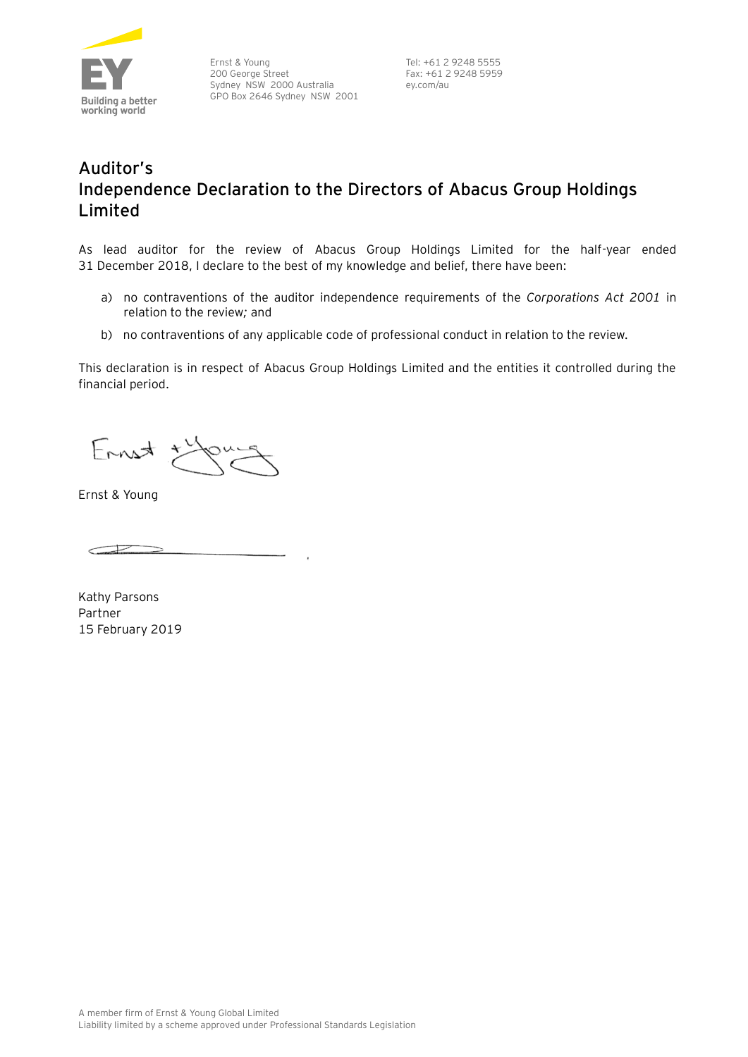

Ernst & Young 200 George Street Sydney NSW 2000 Australia GPO Box 2646 Sydney NSW 2001

Tel: +61 2 9248 5555 Fax: +61 2 9248 5959 ey.com/au

### **Auditor's Independence Declaration to the Directors of Abacus Group Holdings Limited**

As lead auditor for the review of Abacus Group Holdings Limited for the half-year ended 31 December 2018, I declare to the best of my knowledge and belief, there have been:

- a) no contraventions of the auditor independence requirements of the *Corporations Act 2001* in relation to the review*;* and
- b) no contraventions of any applicable code of professional conduct in relation to the review.

This declaration is in respect of Abacus Group Holdings Limited and the entities it controlled during the financial period.

Ernst t

Ernst & Young

 $\subset$ 

Kathy Parsons Partner 15 February 2019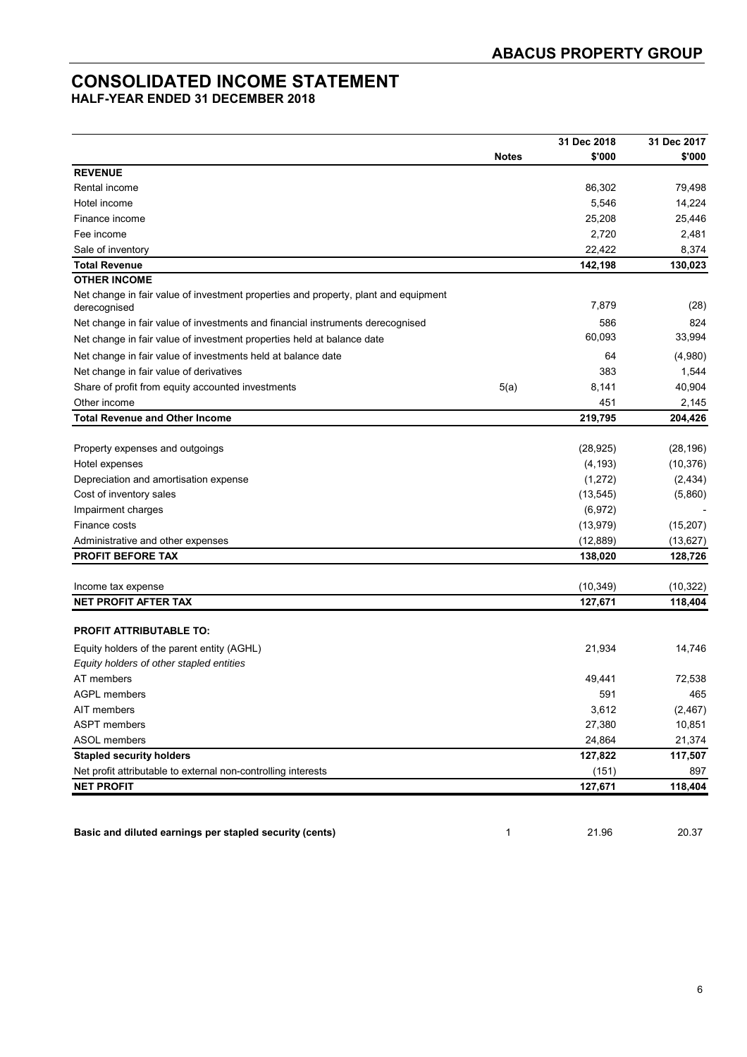### **CONSOLIDATED INCOME STATEMENT**

**HALF-YEAR ENDED 31 DECEMBER 2018** 

|                                                                                                     |              | 31 Dec 2018 | 31 Dec 2017 |
|-----------------------------------------------------------------------------------------------------|--------------|-------------|-------------|
|                                                                                                     | <b>Notes</b> | \$'000      | \$'000      |
| <b>REVENUE</b>                                                                                      |              |             |             |
| Rental income                                                                                       |              | 86,302      | 79,498      |
| Hotel income                                                                                        |              | 5,546       | 14,224      |
| Finance income                                                                                      |              | 25,208      | 25,446      |
| Fee income                                                                                          |              | 2,720       | 2,481       |
| Sale of inventory                                                                                   |              | 22,422      | 8,374       |
| <b>Total Revenue</b>                                                                                |              | 142,198     | 130,023     |
| <b>OTHER INCOME</b>                                                                                 |              |             |             |
| Net change in fair value of investment properties and property, plant and equipment<br>derecognised |              | 7,879       | (28)        |
| Net change in fair value of investments and financial instruments derecognised                      |              | 586         | 824         |
| Net change in fair value of investment properties held at balance date                              |              | 60,093      | 33,994      |
| Net change in fair value of investments held at balance date                                        |              | 64          | (4,980)     |
| Net change in fair value of derivatives                                                             |              | 383         | 1,544       |
| Share of profit from equity accounted investments                                                   | 5(a)         | 8,141       | 40,904      |
| Other income                                                                                        |              | 451         | 2,145       |
| <b>Total Revenue and Other Income</b>                                                               |              | 219,795     | 204,426     |
|                                                                                                     |              |             |             |
| Property expenses and outgoings                                                                     |              | (28, 925)   | (28, 196)   |
| Hotel expenses                                                                                      |              | (4, 193)    | (10, 376)   |
| Depreciation and amortisation expense                                                               |              | (1, 272)    | (2, 434)    |
| Cost of inventory sales                                                                             |              | (13, 545)   | (5,860)     |
| Impairment charges                                                                                  |              | (6, 972)    |             |
| Finance costs                                                                                       |              | (13, 979)   | (15, 207)   |
| Administrative and other expenses                                                                   |              | (12, 889)   | (13, 627)   |
| PROFIT BEFORE TAX                                                                                   |              | 138,020     | 128,726     |
|                                                                                                     |              |             |             |
| Income tax expense                                                                                  |              | (10, 349)   | (10, 322)   |
| NET PROFIT AFTER TAX                                                                                |              | 127,671     | 118,404     |
|                                                                                                     |              |             |             |
| <b>PROFIT ATTRIBUTABLE TO:</b>                                                                      |              |             |             |
| Equity holders of the parent entity (AGHL)                                                          |              | 21,934      | 14,746      |
| Equity holders of other stapled entities                                                            |              |             |             |
| AT members                                                                                          |              | 49,441      | 72,538      |
| AGPL members                                                                                        |              | 591         | 465         |
| AIT members                                                                                         |              | 3,612       | (2, 467)    |
| <b>ASPT</b> members                                                                                 |              | 27,380      | 10,851      |
| <b>ASOL</b> members                                                                                 |              | 24,864      | 21,374      |
| <b>Stapled security holders</b>                                                                     |              | 127,822     | 117,507     |
| Net profit attributable to external non-controlling interests                                       |              | (151)       | 897         |
| <b>NET PROFIT</b>                                                                                   |              | 127,671     | 118,404     |
|                                                                                                     |              |             |             |
|                                                                                                     |              |             |             |
| Basic and diluted earnings per stapled security (cents)                                             | 1            | 21.96       | 20.37       |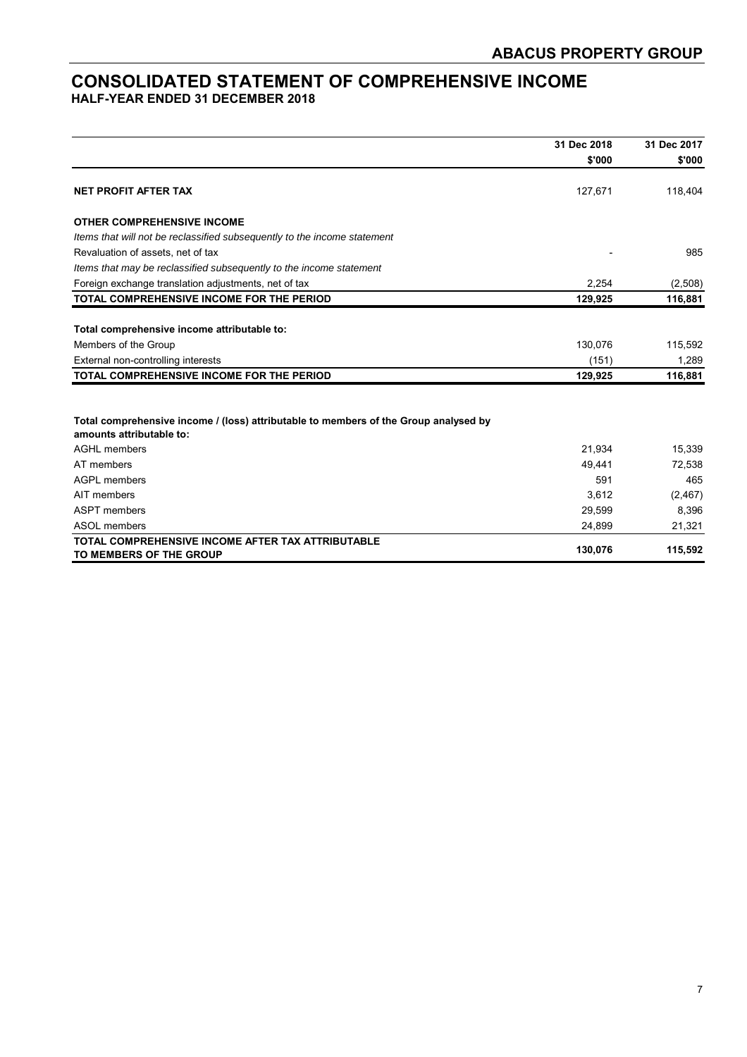#### **CONSOLIDATED STATEMENT OF COMPREHENSIVE INCOME HALF-YEAR ENDED 31 DECEMBER 2018**

|                                                                                                                  | 31 Dec 2018 | 31 Dec 2017 |
|------------------------------------------------------------------------------------------------------------------|-------------|-------------|
|                                                                                                                  | \$'000      | \$'000      |
| <b>NET PROFIT AFTER TAX</b>                                                                                      | 127,671     | 118,404     |
| <b>OTHER COMPREHENSIVE INCOME</b>                                                                                |             |             |
| Items that will not be reclassified subsequently to the income statement                                         |             |             |
| Revaluation of assets, net of tax                                                                                |             | 985         |
| Items that may be reclassified subsequently to the income statement                                              |             |             |
| Foreign exchange translation adjustments, net of tax                                                             | 2,254       | (2,508)     |
| TOTAL COMPREHENSIVE INCOME FOR THE PERIOD                                                                        | 129,925     | 116,881     |
|                                                                                                                  |             |             |
| Total comprehensive income attributable to:                                                                      |             |             |
| Members of the Group                                                                                             | 130,076     | 115,592     |
| External non-controlling interests                                                                               | (151)       | 1,289       |
| TOTAL COMPREHENSIVE INCOME FOR THE PERIOD                                                                        | 129,925     | 116,881     |
|                                                                                                                  |             |             |
| Total comprehensive income / (loss) attributable to members of the Group analysed by<br>amounts attributable to: |             |             |
| <b>AGHL</b> members                                                                                              | 21,934      | 15,339      |
| AT members                                                                                                       | 49.441      | 72,538      |
| <b>AGPL members</b>                                                                                              | 591         | 465         |
| AIT members                                                                                                      | 3,612       | (2, 467)    |
| <b>ASPT</b> members                                                                                              | 29,599      | 8,396       |
| ASOL members                                                                                                     | 24,899      | 21,321      |
| TOTAL COMPREHENSIVE INCOME AFTER TAX ATTRIBUTABLE                                                                | 130,076     | 115,592     |
| TO MEMBERS OF THE GROUP                                                                                          |             |             |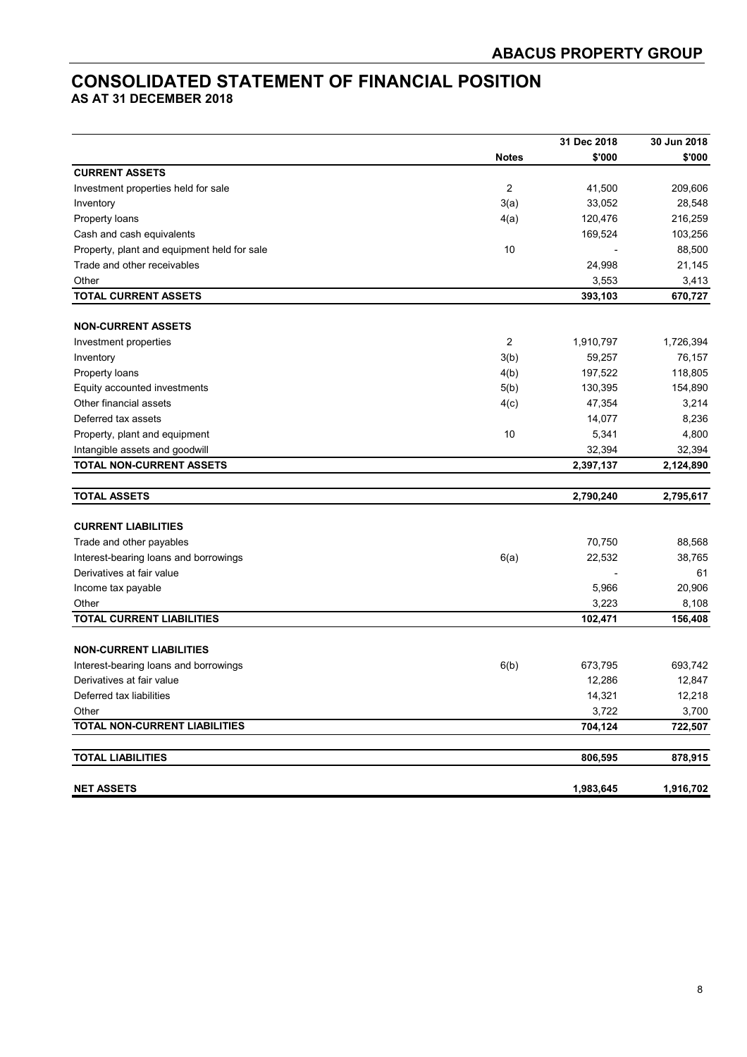### **CONSOLIDATED STATEMENT OF FINANCIAL POSITION**

**AS AT 31 DECEMBER 2018** 

|                                             |                | 31 Dec 2018 | 30 Jun 2018 |
|---------------------------------------------|----------------|-------------|-------------|
|                                             | <b>Notes</b>   | \$'000      | \$'000      |
| <b>CURRENT ASSETS</b>                       |                |             |             |
| Investment properties held for sale         | $\overline{2}$ | 41,500      | 209,606     |
| Inventory                                   | 3(a)           | 33,052      | 28,548      |
| Property loans                              | 4(a)           | 120,476     | 216,259     |
| Cash and cash equivalents                   |                | 169,524     | 103,256     |
| Property, plant and equipment held for sale | 10             |             | 88,500      |
| Trade and other receivables                 |                | 24,998      | 21,145      |
| Other                                       |                | 3,553       | 3,413       |
| <b>TOTAL CURRENT ASSETS</b>                 |                | 393,103     | 670,727     |
| <b>NON-CURRENT ASSETS</b>                   |                |             |             |
| Investment properties                       | $\overline{c}$ | 1,910,797   | 1,726,394   |
| Inventory                                   | 3(b)           | 59,257      | 76,157      |
| Property loans                              | 4(b)           | 197,522     | 118,805     |
| Equity accounted investments                | 5(b)           | 130,395     | 154,890     |
| Other financial assets                      | 4(c)           | 47,354      | 3,214       |
| Deferred tax assets                         |                | 14,077      | 8,236       |
| Property, plant and equipment               | 10             | 5,341       | 4,800       |
| Intangible assets and goodwill              |                | 32,394      | 32,394      |
| <b>TOTAL NON-CURRENT ASSETS</b>             |                | 2,397,137   | 2,124,890   |
|                                             |                |             |             |
| <b>TOTAL ASSETS</b>                         |                | 2,790,240   | 2,795,617   |
|                                             |                |             |             |
| <b>CURRENT LIABILITIES</b>                  |                |             |             |
| Trade and other payables                    |                | 70,750      | 88,568      |
| Interest-bearing loans and borrowings       | 6(a)           | 22,532      | 38,765      |
| Derivatives at fair value                   |                |             | 61          |
| Income tax payable                          |                | 5,966       | 20,906      |
| Other                                       |                | 3,223       | 8,108       |
| <b>TOTAL CURRENT LIABILITIES</b>            |                | 102,471     | 156,408     |
| <b>NON-CURRENT LIABILITIES</b>              |                |             |             |
| Interest-bearing loans and borrowings       | 6(b)           | 673,795     | 693,742     |
| Derivatives at fair value                   |                | 12,286      | 12,847      |
| Deferred tax liabilities                    |                | 14,321      | 12,218      |
| Other                                       |                | 3,722       | 3,700       |
| TOTAL NON-CURRENT LIABILITIES               |                | 704,124     | 722,507     |
| <b>TOTAL LIABILITIES</b>                    |                | 806,595     | 878,915     |
|                                             |                |             |             |
| <b>NET ASSETS</b>                           |                | 1,983,645   | 1,916,702   |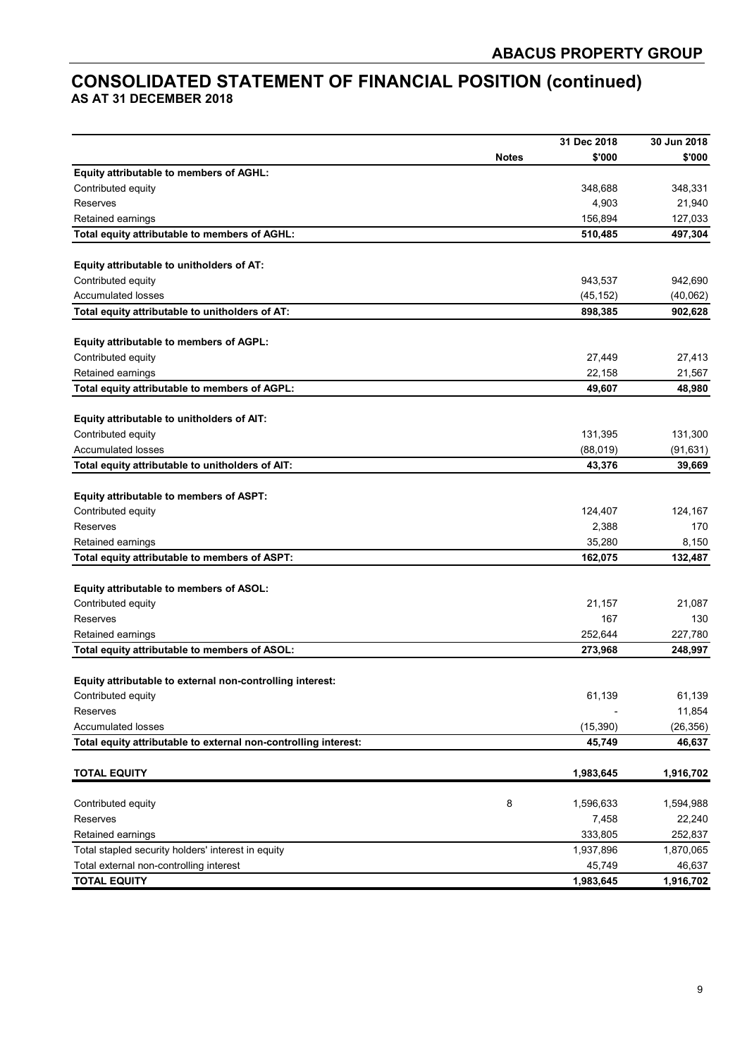### **CONSOLIDATED STATEMENT OF FINANCIAL POSITION (continued) AS AT 31 DECEMBER 2018**

|                                                                 |              | 31 Dec 2018 | 30 Jun 2018 |
|-----------------------------------------------------------------|--------------|-------------|-------------|
|                                                                 | <b>Notes</b> | \$'000      | \$'000      |
| Equity attributable to members of AGHL:                         |              |             |             |
| Contributed equity                                              |              | 348,688     | 348,331     |
| <b>Reserves</b>                                                 |              | 4,903       | 21,940      |
| Retained earnings                                               |              | 156,894     | 127,033     |
| Total equity attributable to members of AGHL:                   |              | 510,485     | 497,304     |
|                                                                 |              |             |             |
| Equity attributable to unitholders of AT:                       |              |             |             |
| Contributed equity                                              |              | 943,537     | 942,690     |
| <b>Accumulated losses</b>                                       |              | (45, 152)   | (40,062)    |
| Total equity attributable to unitholders of AT:                 |              | 898,385     | 902,628     |
|                                                                 |              |             |             |
| Equity attributable to members of AGPL:<br>Contributed equity   |              | 27,449      | 27,413      |
| Retained earnings                                               |              | 22,158      | 21,567      |
| Total equity attributable to members of AGPL:                   |              | 49,607      | 48,980      |
|                                                                 |              |             |             |
| Equity attributable to unitholders of AIT:                      |              |             |             |
| Contributed equity                                              |              | 131,395     | 131,300     |
| <b>Accumulated losses</b>                                       |              | (88,019)    | (91, 631)   |
| Total equity attributable to unitholders of AIT:                |              | 43,376      | 39,669      |
|                                                                 |              |             |             |
| Equity attributable to members of ASPT:                         |              |             |             |
| Contributed equity                                              |              | 124,407     | 124,167     |
| Reserves                                                        |              | 2,388       | 170         |
| Retained earnings                                               |              | 35,280      | 8,150       |
| Total equity attributable to members of ASPT:                   |              | 162,075     | 132,487     |
|                                                                 |              |             |             |
| Equity attributable to members of ASOL:                         |              |             |             |
| Contributed equity                                              |              | 21,157      | 21,087      |
| <b>Reserves</b>                                                 |              | 167         | 130         |
| Retained earnings                                               |              | 252,644     | 227,780     |
| Total equity attributable to members of ASOL:                   |              | 273,968     | 248,997     |
|                                                                 |              |             |             |
| Equity attributable to external non-controlling interest:       |              |             |             |
| Contributed equity                                              |              | 61,139      | 61,139      |
| Reserves                                                        |              |             | 11,854      |
| <b>Accumulated losses</b>                                       |              | (15, 390)   | (26, 356)   |
| Total equity attributable to external non-controlling interest: |              | 45,749      | 46,637      |
| <b>TOTAL EQUITY</b>                                             |              | 1,983,645   | 1,916,702   |
|                                                                 |              |             |             |
| Contributed equity                                              | 8            | 1,596,633   | 1,594,988   |
| Reserves                                                        |              | 7,458       | 22,240      |
| Retained earnings                                               |              | 333,805     | 252,837     |
| Total stapled security holders' interest in equity              |              | 1,937,896   | 1,870,065   |
| Total external non-controlling interest                         |              | 45,749      | 46,637      |
| <b>TOTAL EQUITY</b>                                             |              | 1,983,645   | 1,916,702   |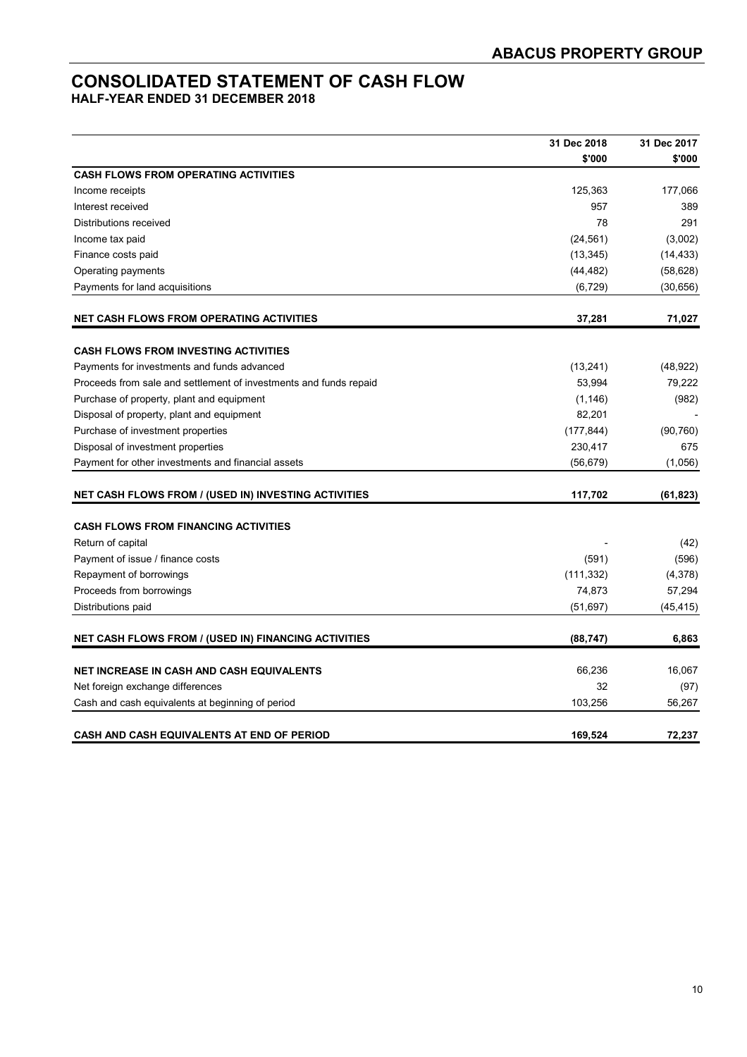### **CONSOLIDATED STATEMENT OF CASH FLOW**

**HALF-YEAR ENDED 31 DECEMBER 2018** 

|                                                                   | 31 Dec 2018 | 31 Dec 2017 |
|-------------------------------------------------------------------|-------------|-------------|
|                                                                   | \$'000      | \$'000      |
| <b>CASH FLOWS FROM OPERATING ACTIVITIES</b>                       |             |             |
| Income receipts                                                   | 125,363     | 177,066     |
| Interest received                                                 | 957         | 389         |
| Distributions received                                            | 78          | 291         |
| Income tax paid                                                   | (24, 561)   | (3,002)     |
| Finance costs paid                                                | (13, 345)   | (14, 433)   |
| Operating payments                                                | (44, 482)   | (58, 628)   |
| Payments for land acquisitions                                    | (6, 729)    | (30, 656)   |
| <b>NET CASH FLOWS FROM OPERATING ACTIVITIES</b>                   | 37,281      | 71,027      |
| <b>CASH FLOWS FROM INVESTING ACTIVITIES</b>                       |             |             |
| Payments for investments and funds advanced                       | (13, 241)   | (48, 922)   |
| Proceeds from sale and settlement of investments and funds repaid | 53,994      | 79,222      |
| Purchase of property, plant and equipment                         | (1, 146)    | (982)       |
| Disposal of property, plant and equipment                         | 82,201      |             |
| Purchase of investment properties                                 | (177, 844)  | (90, 760)   |
| Disposal of investment properties                                 | 230,417     | 675         |
| Payment for other investments and financial assets                | (56, 679)   | (1,056)     |
| <b>NET CASH FLOWS FROM / (USED IN) INVESTING ACTIVITIES</b>       | 117,702     | (61, 823)   |
| <b>CASH FLOWS FROM FINANCING ACTIVITIES</b>                       |             |             |
| Return of capital                                                 |             | (42)        |
| Payment of issue / finance costs                                  | (591)       | (596)       |
| Repayment of borrowings                                           | (111, 332)  | (4,378)     |
| Proceeds from borrowings                                          | 74,873      | 57,294      |
| Distributions paid                                                | (51, 697)   | (45, 415)   |
| NET CASH FLOWS FROM / (USED IN) FINANCING ACTIVITIES              | (88, 747)   | 6,863       |
|                                                                   |             |             |
| <b>NET INCREASE IN CASH AND CASH EQUIVALENTS</b>                  | 66,236      | 16,067      |
| Net foreign exchange differences                                  | 32          | (97)        |
| Cash and cash equivalents at beginning of period                  | 103,256     | 56,267      |
| CASH AND CASH EQUIVALENTS AT END OF PERIOD                        | 169,524     | 72,237      |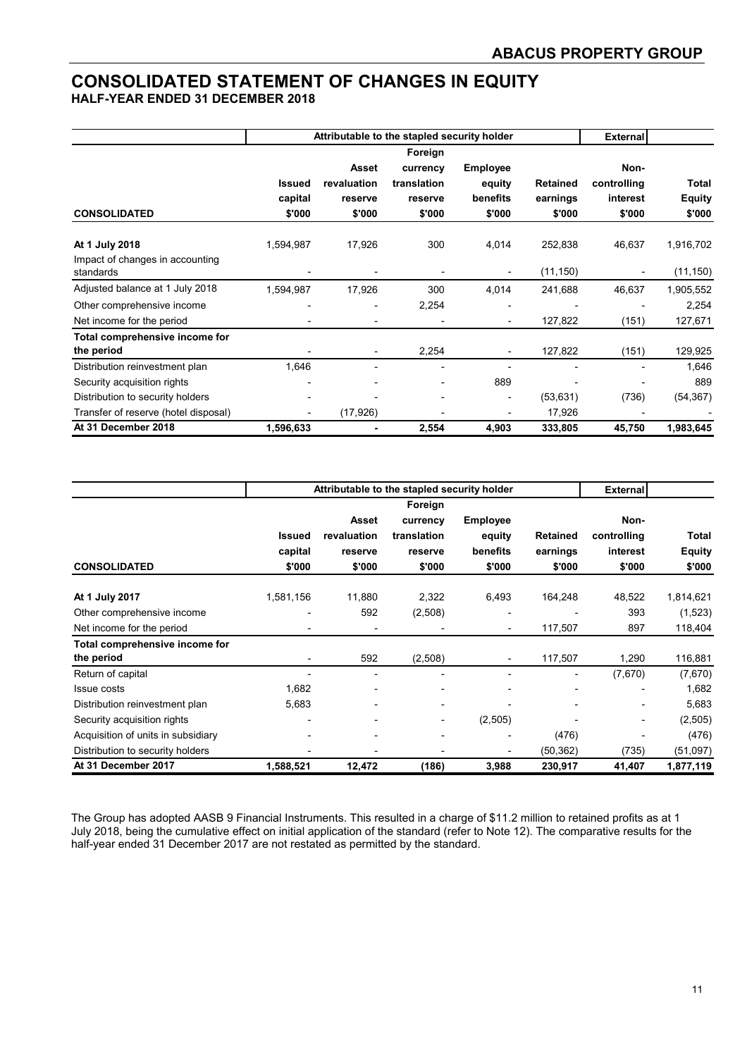### **CONSOLIDATED STATEMENT OF CHANGES IN EQUITY**

**HALF-YEAR ENDED 31 DECEMBER 2018** 

|                                              |               | Attributable to the stapled security holder | <b>External</b> |                 |                 |                          |               |
|----------------------------------------------|---------------|---------------------------------------------|-----------------|-----------------|-----------------|--------------------------|---------------|
|                                              |               |                                             |                 |                 |                 |                          |               |
|                                              |               | Asset                                       | currency        | <b>Employee</b> |                 | Non-                     |               |
|                                              | <b>Issued</b> | revaluation                                 | translation     | equity          | <b>Retained</b> | controlling              | <b>Total</b>  |
|                                              | capital       | reserve                                     | reserve         | benefits        | earnings        | interest                 | <b>Equity</b> |
| <b>CONSOLIDATED</b>                          | \$'000        | \$'000                                      | \$'000          | \$'000          | \$'000          | \$'000                   | \$'000        |
| At 1 July 2018                               | 1,594,987     | 17,926                                      | 300             | 4,014           | 252,838         | 46,637                   | 1,916,702     |
| Impact of changes in accounting<br>standards |               |                                             |                 |                 | (11, 150)       | $\overline{\phantom{a}}$ | (11, 150)     |
| Adjusted balance at 1 July 2018              | 1,594,987     | 17,926                                      | 300             | 4,014           | 241,688         | 46,637                   | 1,905,552     |
| Other comprehensive income                   |               |                                             | 2,254           |                 |                 |                          | 2,254         |
| Net income for the period                    |               |                                             |                 |                 | 127,822         | (151)                    | 127,671       |
| Total comprehensive income for               |               |                                             |                 |                 |                 |                          |               |
| the period                                   |               | -                                           | 2,254           |                 | 127,822         | (151)                    | 129,925       |
| Distribution reinvestment plan               | 1,646         |                                             |                 |                 |                 |                          | 1,646         |
| Security acquisition rights                  |               |                                             |                 | 889             |                 |                          | 889           |
| Distribution to security holders             |               |                                             |                 |                 | (53, 631)       | (736)                    | (54, 367)     |
| Transfer of reserve (hotel disposal)         |               | (17, 926)                                   |                 |                 | 17,926          |                          |               |
| At 31 December 2018                          | 1,596,633     |                                             | 2,554           | 4,903           | 333,805         | 45,750                   | 1,983,645     |

|                                    |               |                          | Attributable to the stapled security holder | <b>External</b> |                 |                              |               |
|------------------------------------|---------------|--------------------------|---------------------------------------------|-----------------|-----------------|------------------------------|---------------|
|                                    |               |                          | Foreign                                     |                 |                 |                              |               |
|                                    |               | Asset                    | currency                                    | <b>Employee</b> |                 | Non-                         |               |
|                                    | <b>Issued</b> | revaluation              | translation                                 | equity          | <b>Retained</b> | controlling                  | Total         |
|                                    | capital       | reserve                  | reserve                                     | benefits        | earnings        | interest                     | <b>Equity</b> |
| <b>CONSOLIDATED</b>                | \$'000        | \$'000                   | \$'000                                      | \$'000          | \$'000          | \$'000                       | \$'000        |
| At 1 July 2017                     | 1,581,156     | 11,880                   | 2,322                                       | 6,493           | 164,248         | 48,522                       | 1,814,621     |
| Other comprehensive income         |               | 592                      | (2,508)                                     |                 |                 | 393                          | (1,523)       |
| Net income for the period          |               | $\overline{\phantom{0}}$ |                                             |                 | 117,507         | 897                          | 118,404       |
| Total comprehensive income for     |               |                          |                                             |                 |                 |                              |               |
| the period                         |               | 592                      | (2,508)                                     |                 | 117,507         | 1,290                        | 116,881       |
| Return of capital                  |               |                          | $\blacksquare$                              |                 |                 | (7,670)                      | (7,670)       |
| Issue costs                        | 1,682         | ۰                        |                                             |                 |                 | -                            | 1,682         |
| Distribution reinvestment plan     | 5,683         | ۰                        | ٠                                           |                 |                 | -                            | 5,683         |
| Security acquisition rights        |               | ۰                        | ٠                                           | (2,505)         |                 | $\qquad \qquad \blacksquare$ | (2,505)       |
| Acquisition of units in subsidiary |               | ۰                        | $\overline{\phantom{0}}$                    |                 | (476)           |                              | (476)         |
| Distribution to security holders   |               |                          |                                             |                 | (50, 362)       | (735)                        | (51,097)      |
| At 31 December 2017                | 1,588,521     | 12,472                   | (186)                                       | 3,988           | 230,917         | 41,407                       | 1,877,119     |

The Group has adopted AASB 9 Financial Instruments. This resulted in a charge of \$11.2 million to retained profits as at 1 July 2018, being the cumulative effect on initial application of the standard (refer to Note 12). The comparative results for the half-year ended 31 December 2017 are not restated as permitted by the standard.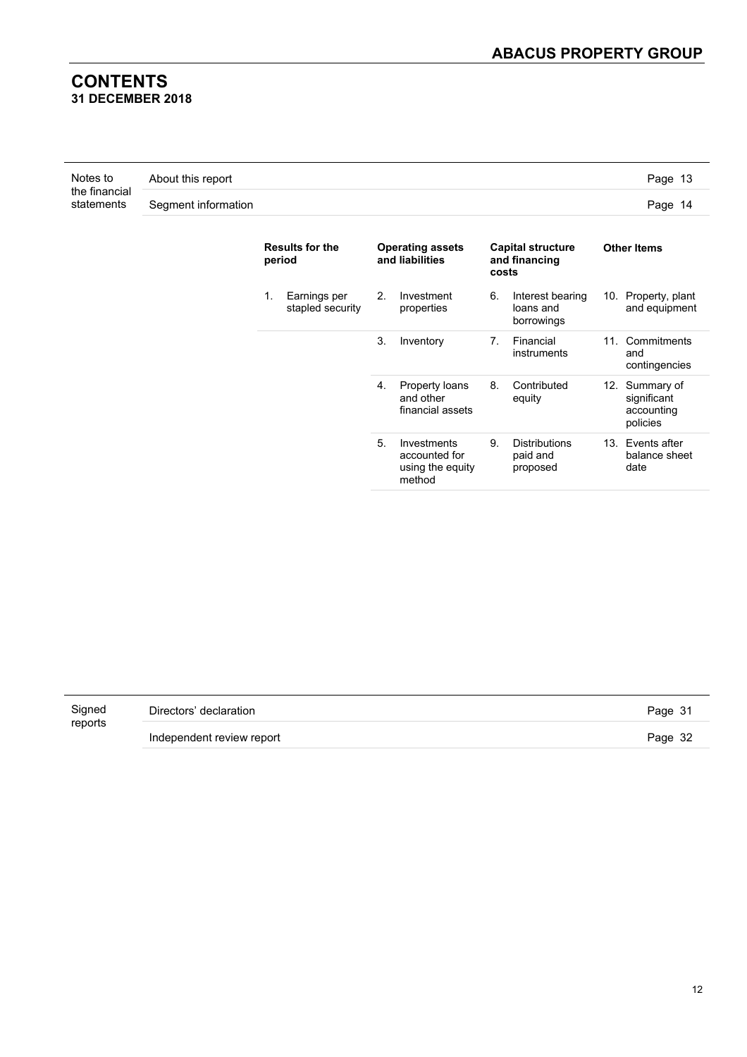#### **CONTENTS 31 DECEMBER 2018**

| Notes to<br>the financial<br>statements | About this report   | Page 13 |
|-----------------------------------------|---------------------|---------|
|                                         | Segment information | Page 14 |

|    | <b>Results for the</b><br>period | <b>Operating assets</b><br>and liabilities |                                                            | <b>Capital structure</b><br>and financing<br>costs |                                              |  |                                                         |  |  | <b>Other Items</b> |  |  |
|----|----------------------------------|--------------------------------------------|------------------------------------------------------------|----------------------------------------------------|----------------------------------------------|--|---------------------------------------------------------|--|--|--------------------|--|--|
| 1. | Earnings per<br>stapled security | 2.                                         | Investment<br>properties                                   | 6.                                                 | Interest bearing<br>loans and<br>borrowings  |  | 10. Property, plant<br>and equipment                    |  |  |                    |  |  |
|    |                                  | 3.                                         | Inventory                                                  | 7.                                                 | Financial<br>instruments                     |  | 11. Commitments<br>and<br>contingencies                 |  |  |                    |  |  |
|    |                                  | 4.                                         | Property loans<br>and other<br>financial assets            | 8.                                                 | Contributed<br>equity                        |  | 12. Summary of<br>significant<br>accounting<br>policies |  |  |                    |  |  |
|    |                                  | 5.                                         | Investments<br>accounted for<br>using the equity<br>method | 9.                                                 | <b>Distributions</b><br>paid and<br>proposed |  | 13. Events after<br>balance sheet<br>date               |  |  |                    |  |  |

| Signed  | Directors' declaration    | Page 31 |
|---------|---------------------------|---------|
| reports | Independent review report | Page 32 |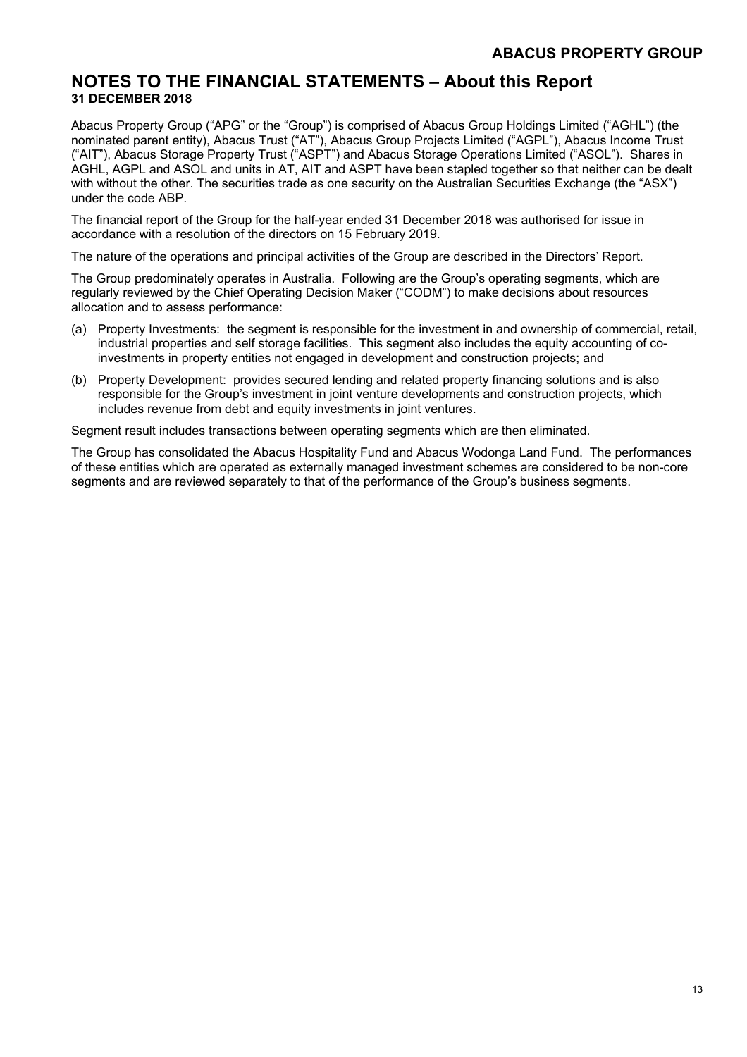#### **NOTES TO THE FINANCIAL STATEMENTS – About this Report 31 DECEMBER 2018**

Abacus Property Group ("APG" or the "Group") is comprised of Abacus Group Holdings Limited ("AGHL") (the nominated parent entity), Abacus Trust ("AT"), Abacus Group Projects Limited ("AGPL"), Abacus Income Trust ("AIT"), Abacus Storage Property Trust ("ASPT") and Abacus Storage Operations Limited ("ASOL"). Shares in AGHL, AGPL and ASOL and units in AT, AIT and ASPT have been stapled together so that neither can be dealt with without the other. The securities trade as one security on the Australian Securities Exchange (the "ASX") under the code ABP.

The financial report of the Group for the half-year ended 31 December 2018 was authorised for issue in accordance with a resolution of the directors on 15 February 2019.

The nature of the operations and principal activities of the Group are described in the Directors' Report.

The Group predominately operates in Australia. Following are the Group's operating segments, which are regularly reviewed by the Chief Operating Decision Maker ("CODM") to make decisions about resources allocation and to assess performance:

- (a) Property Investments: the segment is responsible for the investment in and ownership of commercial, retail, industrial properties and self storage facilities. This segment also includes the equity accounting of coinvestments in property entities not engaged in development and construction projects; and
- (b) Property Development: provides secured lending and related property financing solutions and is also responsible for the Group's investment in joint venture developments and construction projects, which includes revenue from debt and equity investments in joint ventures.

Segment result includes transactions between operating segments which are then eliminated.

The Group has consolidated the Abacus Hospitality Fund and Abacus Wodonga Land Fund. The performances of these entities which are operated as externally managed investment schemes are considered to be non-core segments and are reviewed separately to that of the performance of the Group's business segments.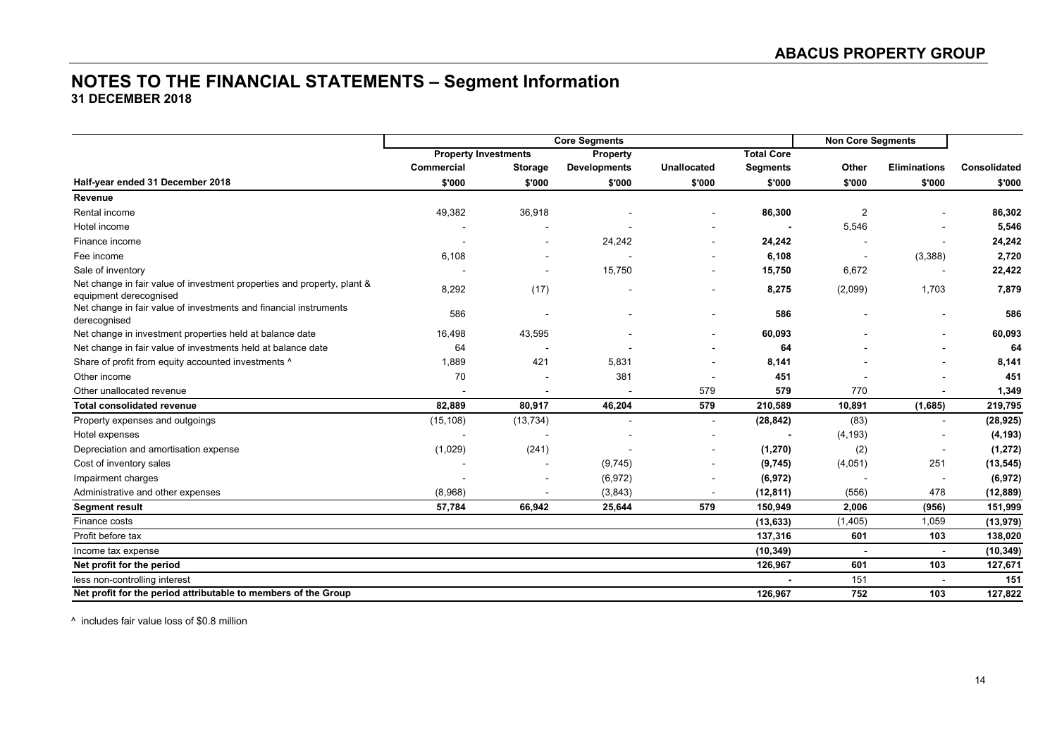#### **NOTES TO THE FINANCIAL STATEMENTS – Segment Information 31 DECEMBER 2018**

|                                                                                                   | <b>Core Segments</b>        |                |                     |                |                   | <b>Non Core Segments</b> |                          |              |
|---------------------------------------------------------------------------------------------------|-----------------------------|----------------|---------------------|----------------|-------------------|--------------------------|--------------------------|--------------|
|                                                                                                   | <b>Property Investments</b> |                | Property            |                | <b>Total Core</b> |                          |                          |              |
|                                                                                                   | Commercial                  | <b>Storage</b> | <b>Developments</b> | Unallocated    | <b>Segments</b>   | Other                    | <b>Eliminations</b>      | Consolidated |
| Half-year ended 31 December 2018                                                                  | \$'000                      | \$'000         | \$'000              | \$'000         | \$'000            | \$'000                   | \$'000                   | \$'000       |
| Revenue                                                                                           |                             |                |                     |                |                   |                          |                          |              |
| Rental income                                                                                     | 49,382                      | 36,918         |                     | $\blacksquare$ | 86,300            | $\overline{2}$           |                          | 86,302       |
| Hotel income                                                                                      |                             |                |                     |                |                   | 5,546                    |                          | 5,546        |
| Finance income                                                                                    |                             |                | 24,242              |                | 24,242            |                          |                          | 24,242       |
| Fee income                                                                                        | 6,108                       |                |                     | $\sim$         | 6,108             | $\overline{\phantom{a}}$ | (3,388)                  | 2,720        |
| Sale of inventory                                                                                 |                             |                | 15,750              |                | 15,750            | 6,672                    |                          | 22,422       |
| Net change in fair value of investment properties and property, plant &<br>equipment derecognised | 8,292                       | (17)           |                     |                | 8,275             | (2,099)                  | 1,703                    | 7,879        |
| Net change in fair value of investments and financial instruments<br>derecognised                 | 586                         |                |                     |                | 586               |                          |                          | 586          |
| Net change in investment properties held at balance date                                          | 16,498                      | 43,595         |                     |                | 60,093            |                          |                          | 60,093       |
| Net change in fair value of investments held at balance date                                      | 64                          |                |                     |                | 64                |                          |                          | 64           |
| Share of profit from equity accounted investments ^                                               | 1,889                       | 421            | 5,831               |                | 8,141             |                          |                          | 8,141        |
| Other income                                                                                      | 70                          |                | 381                 |                | 451               |                          |                          | 451          |
| Other unallocated revenue                                                                         |                             |                |                     | 579            | 579               | 770                      |                          | 1,349        |
| <b>Total consolidated revenue</b>                                                                 | 82,889                      | 80,917         | 46,204              | 579            | 210,589           | 10,891                   | (1,685)                  | 219,795      |
| Property expenses and outgoings                                                                   | (15, 108)                   | (13, 734)      |                     | $\blacksquare$ | (28, 842)         | (83)                     | $\blacksquare$           | (28, 925)    |
| Hotel expenses                                                                                    |                             |                |                     |                |                   | (4, 193)                 |                          | (4, 193)     |
| Depreciation and amortisation expense                                                             | (1,029)                     | (241)          |                     |                | (1, 270)          | (2)                      | $\overline{\phantom{a}}$ | (1, 272)     |
| Cost of inventory sales                                                                           |                             |                | (9,745)             |                | (9,745)           | (4,051)                  | 251                      | (13, 545)    |
| Impairment charges                                                                                |                             |                | (6, 972)            |                | (6, 972)          |                          |                          | (6,972)      |
| Administrative and other expenses                                                                 | (8,968)                     |                | (3,843)             |                | (12, 811)         | (556)                    | 478                      | (12, 889)    |
| <b>Segment result</b>                                                                             | 57,784                      | 66,942         | 25,644              | 579            | 150,949           | 2,006                    | (956)                    | 151,999      |
| Finance costs                                                                                     |                             |                |                     |                | (13, 633)         | (1, 405)                 | 1,059                    | (13, 979)    |
| Profit before tax                                                                                 |                             |                |                     |                | 137,316           | 601                      | 103                      | 138,020      |
| Income tax expense                                                                                |                             |                |                     |                | (10, 349)         |                          | $\sim$                   | (10, 349)    |
| Net profit for the period                                                                         |                             |                |                     |                | 126,967           | 601                      | 103                      | 127,671      |
| less non-controlling interest                                                                     |                             |                |                     |                |                   | 151                      | $\sim$                   | 151          |
| Net profit for the period attributable to members of the Group                                    |                             |                |                     |                | 126,967           | 752                      | 103                      | 127,822      |

^ includes fair value loss of \$0.8 million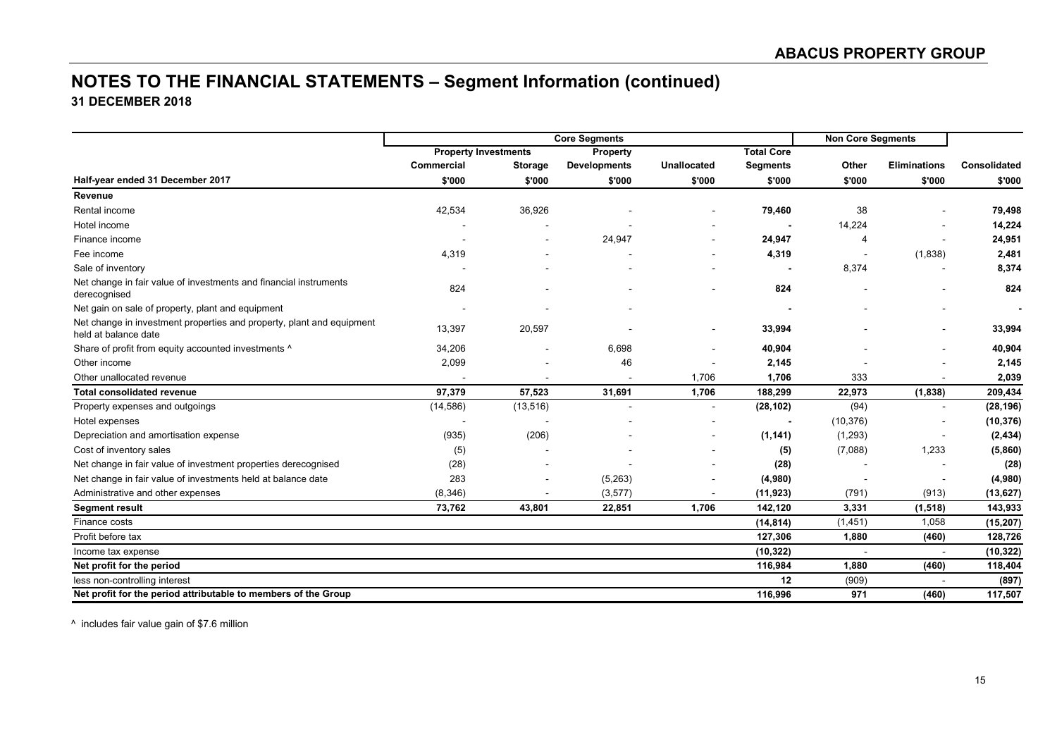### **NOTES TO THE FINANCIAL STATEMENTS – Segment Information (continued) 31 DECEMBER 2018**

|                                                                                               | <b>Core Segments</b>        |                          |                     |                |                   | <b>Non Core Segments</b> |                     |              |
|-----------------------------------------------------------------------------------------------|-----------------------------|--------------------------|---------------------|----------------|-------------------|--------------------------|---------------------|--------------|
|                                                                                               | <b>Property Investments</b> |                          | Property            |                | <b>Total Core</b> |                          |                     |              |
|                                                                                               | Commercial                  | Storage                  | <b>Developments</b> | Unallocated    | <b>Segments</b>   | Other                    | <b>Eliminations</b> | Consolidated |
| Half-year ended 31 December 2017                                                              | \$'000                      | \$'000                   | \$'000              | \$'000         | \$'000            | \$'000                   | \$'000              | \$'000       |
| Revenue                                                                                       |                             |                          |                     |                |                   |                          |                     |              |
| Rental income                                                                                 | 42,534                      | 36,926                   |                     |                | 79,460            | 38                       |                     | 79,498       |
| Hotel income                                                                                  |                             |                          |                     |                |                   | 14,224                   |                     | 14,224       |
| Finance income                                                                                |                             |                          | 24,947              |                | 24,947            | $\overline{4}$           |                     | 24,951       |
| Fee income                                                                                    | 4,319                       |                          |                     |                | 4,319             |                          | (1,838)             | 2,481        |
| Sale of inventory                                                                             |                             |                          |                     |                |                   | 8,374                    |                     | 8,374        |
| Net change in fair value of investments and financial instruments<br>derecognised             | 824                         |                          |                     |                | 824               |                          |                     | 824          |
| Net gain on sale of property, plant and equipment                                             |                             |                          |                     |                |                   |                          |                     |              |
| Net change in investment properties and property, plant and equipment<br>held at balance date | 13,397                      | 20,597                   |                     |                | 33,994            |                          |                     | 33,994       |
| Share of profit from equity accounted investments ^                                           | 34,206                      | $\overline{\phantom{a}}$ | 6,698               |                | 40,904            |                          |                     | 40,904       |
| Other income                                                                                  | 2,099                       |                          | 46                  |                | 2,145             |                          |                     | 2,145        |
| Other unallocated revenue                                                                     |                             |                          |                     | 1,706          | 1,706             | 333                      |                     | 2,039        |
| <b>Total consolidated revenue</b>                                                             | 97,379                      | 57,523                   | 31,691              | 1,706          | 188,299           | 22,973                   | (1,838)             | 209,434      |
| Property expenses and outgoings                                                               | (14, 586)                   | (13, 516)                |                     | $\blacksquare$ | (28, 102)         | (94)                     | $\sim$              | (28, 196)    |
| Hotel expenses                                                                                |                             |                          |                     |                |                   | (10, 376)                |                     | (10, 376)    |
| Depreciation and amortisation expense                                                         | (935)                       | (206)                    |                     |                | (1, 141)          | (1, 293)                 |                     | (2, 434)     |
| Cost of inventory sales                                                                       | (5)                         |                          |                     |                | (5)               | (7,088)                  | 1,233               | (5,860)      |
| Net change in fair value of investment properties derecognised                                | (28)                        |                          |                     |                | (28)              |                          |                     | (28)         |
| Net change in fair value of investments held at balance date                                  | 283                         |                          | (5,263)             |                | (4,980)           |                          |                     | (4,980)      |
| Administrative and other expenses                                                             | (8, 346)                    |                          | (3,577)             |                | (11, 923)         | (791)                    | (913)               | (13, 627)    |
| <b>Segment result</b>                                                                         | 73,762                      | 43,801                   | 22,851              | 1,706          | 142,120           | 3,331                    | (1, 518)            | 143,933      |
| Finance costs                                                                                 |                             |                          |                     |                | (14, 814)         | (1, 451)                 | 1,058               | (15, 207)    |
| Profit before tax                                                                             |                             |                          |                     |                | 127,306           | 1,880                    | (460)               | 128,726      |
| Income tax expense                                                                            |                             |                          |                     |                | (10, 322)         | $\overline{a}$           |                     | (10, 322)    |
| Net profit for the period                                                                     |                             |                          |                     |                | 116,984           | 1,880                    | (460)               | 118,404      |
| less non-controlling interest                                                                 |                             |                          |                     |                | 12                | (909)                    |                     | (897)        |
| Net profit for the period attributable to members of the Group                                |                             |                          |                     |                | 116,996           | 971                      | (460)               | 117,507      |

^ includes fair value gain of \$7.6 million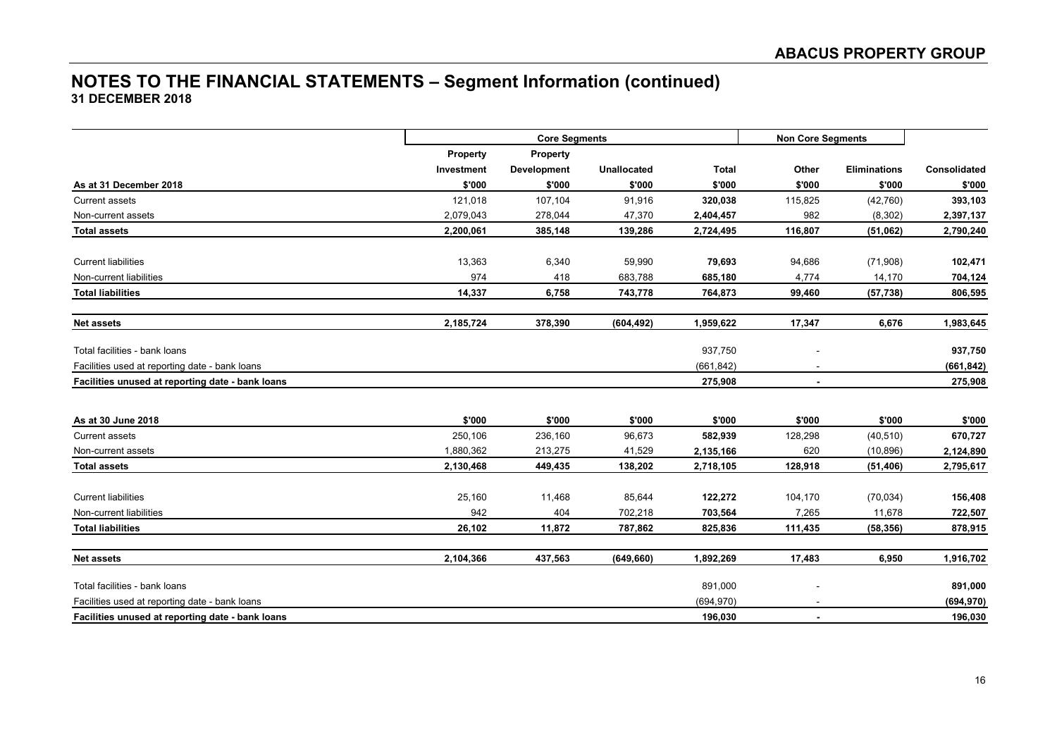### **NOTES TO THE FINANCIAL STATEMENTS – Segment Information (continued) 31 DECEMBER 2018**

|                                                  |            | <b>Core Segments</b> |                    |              |                | <b>Non Core Segments</b> |              |  |  |
|--------------------------------------------------|------------|----------------------|--------------------|--------------|----------------|--------------------------|--------------|--|--|
|                                                  | Property   | Property             |                    |              |                |                          |              |  |  |
|                                                  | Investment | Development          | <b>Unallocated</b> | <b>Total</b> | Other          | <b>Eliminations</b>      | Consolidated |  |  |
| As at 31 December 2018                           | \$'000     | \$'000               | \$'000             | \$'000       | \$'000         | \$'000                   | \$'000       |  |  |
| <b>Current assets</b>                            | 121,018    | 107,104              | 91,916             | 320,038      | 115,825        | (42, 760)                | 393,103      |  |  |
| Non-current assets                               | 2,079,043  | 278,044              | 47,370             | 2,404,457    | 982            | (8,302)                  | 2,397,137    |  |  |
| <b>Total assets</b>                              | 2,200,061  | 385,148              | 139,286            | 2,724,495    | 116,807        | (51,062)                 | 2,790,240    |  |  |
| <b>Current liabilities</b>                       | 13,363     | 6,340                | 59,990             | 79,693       | 94,686         | (71,908)                 | 102,471      |  |  |
| Non-current liabilities                          | 974        | 418                  | 683,788            | 685,180      | 4,774          | 14,170                   | 704,124      |  |  |
| <b>Total liabilities</b>                         | 14,337     | 6,758                | 743,778            | 764,873      | 99,460         | (57, 738)                | 806,595      |  |  |
| <b>Net assets</b>                                | 2,185,724  | 378,390              | (604, 492)         | 1,959,622    | 17,347         | 6,676                    | 1,983,645    |  |  |
| Total facilities - bank loans                    |            |                      |                    | 937,750      |                |                          | 937,750      |  |  |
| Facilities used at reporting date - bank loans   |            |                      |                    | (661, 842)   |                |                          | (661, 842)   |  |  |
| Facilities unused at reporting date - bank loans |            |                      |                    | 275,908      | $\blacksquare$ |                          | 275,908      |  |  |
| As at 30 June 2018                               | \$'000     | \$'000               | \$'000             | \$'000       | \$'000         | \$'000                   | \$'000       |  |  |
| <b>Current assets</b>                            | 250,106    | 236,160              | 96,673             | 582,939      | 128,298        | (40, 510)                | 670,727      |  |  |
| Non-current assets                               | 1,880,362  | 213,275              | 41,529             | 2,135,166    | 620            | (10, 896)                | 2,124,890    |  |  |
| <b>Total assets</b>                              | 2,130,468  | 449,435              | 138,202            | 2,718,105    | 128,918        | (51, 406)                | 2,795,617    |  |  |
| <b>Current liabilities</b>                       | 25,160     | 11,468               | 85,644             | 122,272      | 104,170        | (70, 034)                | 156,408      |  |  |
| Non-current liabilities                          | 942        | 404                  | 702,218            | 703,564      | 7,265          | 11,678                   | 722,507      |  |  |
| <b>Total liabilities</b>                         | 26,102     | 11,872               | 787,862            | 825,836      | 111,435        | (58, 356)                | 878,915      |  |  |
| <b>Net assets</b>                                | 2,104,366  | 437,563              | (649, 660)         | 1,892,269    | 17,483         | 6,950                    | 1,916,702    |  |  |
| Total facilities - bank loans                    |            |                      |                    | 891,000      |                |                          | 891,000      |  |  |
| Facilities used at reporting date - bank loans   |            |                      |                    | (694, 970)   |                |                          | (694, 970)   |  |  |
| Facilities unused at reporting date - bank loans |            |                      |                    | 196,030      |                |                          | 196,030      |  |  |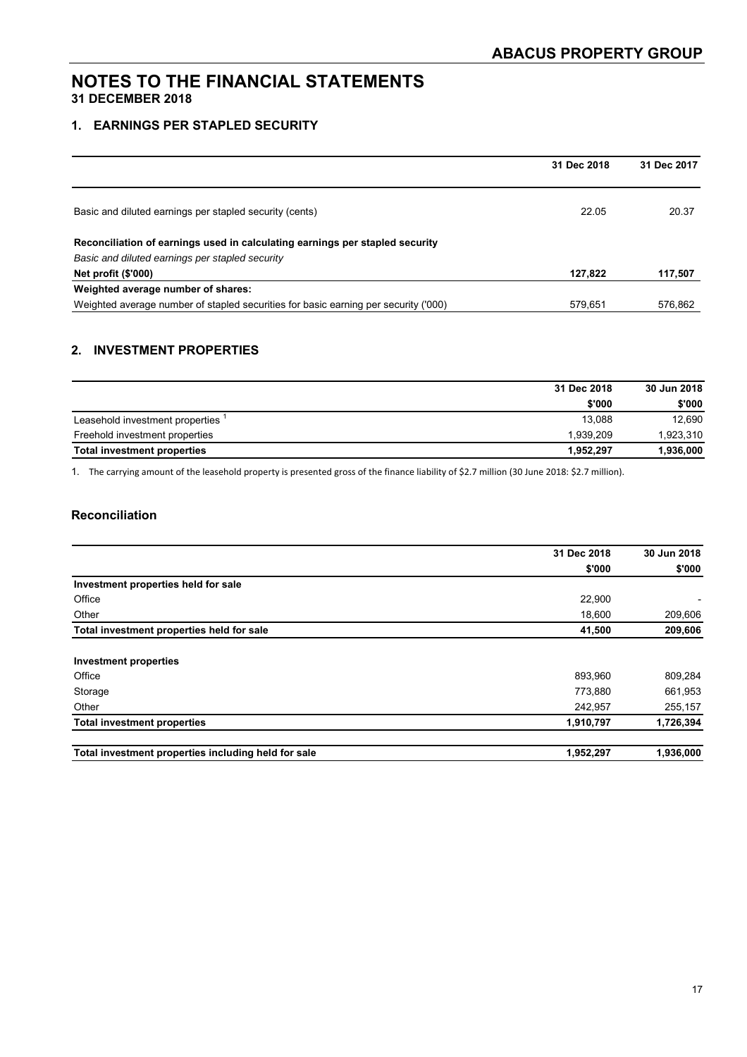#### **1. EARNINGS PER STAPLED SECURITY**

|                                                                                     | 31 Dec 2018 | 31 Dec 2017 |
|-------------------------------------------------------------------------------------|-------------|-------------|
|                                                                                     |             |             |
| Basic and diluted earnings per stapled security (cents)                             | 22.05       | 20.37       |
| Reconciliation of earnings used in calculating earnings per stapled security        |             |             |
| Basic and diluted earnings per stapled security                                     |             |             |
| <b>Net profit (\$'000)</b>                                                          | 127.822     | 117,507     |
| Weighted average number of shares:                                                  |             |             |
| Weighted average number of stapled securities for basic earning per security ('000) | 579.651     | 576.862     |

#### **2. INVESTMENT PROPERTIES**

|                                    | 31 Dec 2018 | 30 Jun 2018 |  |
|------------------------------------|-------------|-------------|--|
|                                    | \$'000      | \$'000      |  |
| Leasehold investment properties    | 13.088      | 12,690      |  |
| Freehold investment properties     | 1.939.209   | 1,923,310   |  |
| <b>Total investment properties</b> | 1.952.297   | 1,936,000   |  |

1. The carrying amount of the leasehold property is presented gross of the finance liability of \$2.7 million (30 June 2018: \$2.7 million).

#### **Reconciliation**

|                                                     | 31 Dec 2018 | 30 Jun 2018 |  |
|-----------------------------------------------------|-------------|-------------|--|
|                                                     | \$'000      | \$'000      |  |
| Investment properties held for sale                 |             |             |  |
| Office                                              | 22,900      |             |  |
| Other                                               | 18,600      | 209,606     |  |
| Total investment properties held for sale           | 41,500      | 209,606     |  |
| <b>Investment properties</b>                        |             |             |  |
| Office                                              | 893.960     | 809,284     |  |
| Storage                                             | 773,880     | 661,953     |  |
| Other                                               | 242,957     | 255,157     |  |
| <b>Total investment properties</b>                  | 1,910,797   | 1,726,394   |  |
| Total investment properties including held for sale | 1,952,297   | 1,936,000   |  |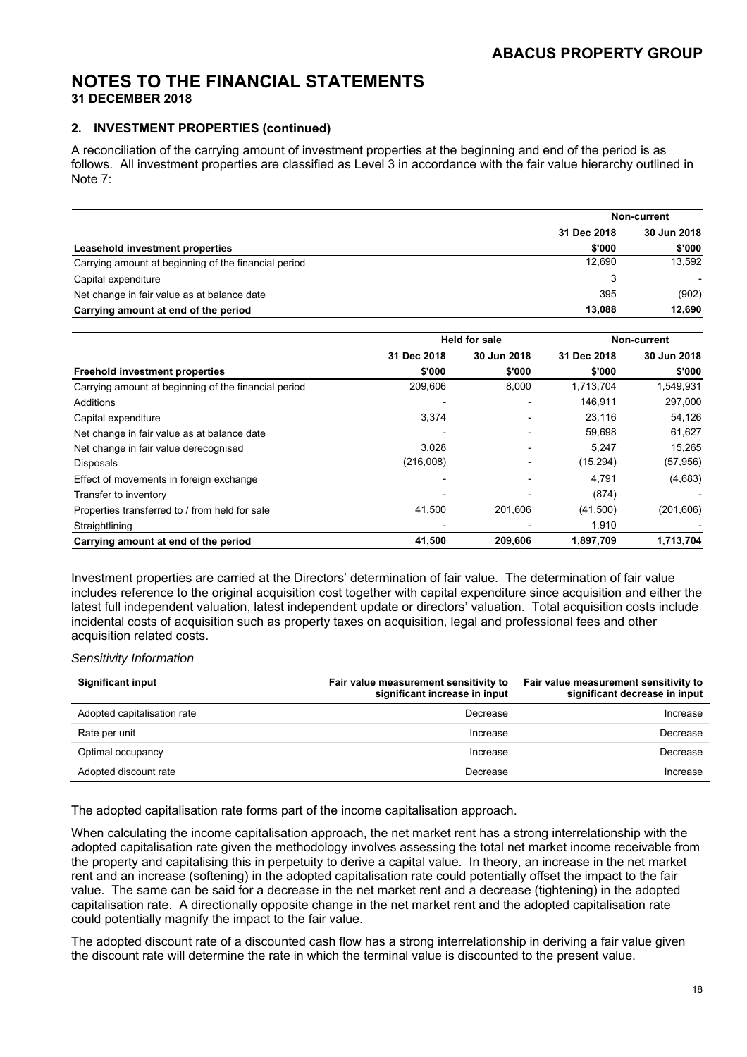#### **2. INVESTMENT PROPERTIES (continued)**

A reconciliation of the carrying amount of investment properties at the beginning and end of the period is as follows. All investment properties are classified as Level 3 in accordance with the fair value hierarchy outlined in Note 7:

|                                                      |             | Non-current |  |
|------------------------------------------------------|-------------|-------------|--|
|                                                      | 31 Dec 2018 | 30 Jun 2018 |  |
| Leasehold investment properties                      | \$'000      | \$'000      |  |
| Carrying amount at beginning of the financial period | 12.690      | 13,592      |  |
| Capital expenditure                                  | 3           |             |  |
| Net change in fair value as at balance date          | 395         | (902)       |  |
| Carrying amount at end of the period                 | 13.088      | 12,690      |  |

|                                                      |             | <b>Held for sale</b> | Non-current |             |  |
|------------------------------------------------------|-------------|----------------------|-------------|-------------|--|
|                                                      | 31 Dec 2018 | 30 Jun 2018          | 31 Dec 2018 | 30 Jun 2018 |  |
| <b>Freehold investment properties</b>                | \$'000      | \$'000               | \$'000      | \$'000      |  |
| Carrying amount at beginning of the financial period | 209.606     | 8,000                | 1.713.704   | 1,549,931   |  |
| Additions                                            |             |                      | 146,911     | 297,000     |  |
| Capital expenditure                                  | 3,374       |                      | 23,116      | 54,126      |  |
| Net change in fair value as at balance date          |             |                      | 59,698      | 61,627      |  |
| Net change in fair value derecognised                | 3.028       |                      | 5.247       | 15.265      |  |
| <b>Disposals</b>                                     | (216,008)   |                      | (15, 294)   | (57, 956)   |  |
| Effect of movements in foreign exchange              |             |                      | 4.791       | (4,683)     |  |
| Transfer to inventory                                |             |                      | (874)       |             |  |
| Properties transferred to / from held for sale       | 41,500      | 201.606              | (41,500)    | (201, 606)  |  |
| Straightlining                                       |             |                      | 1,910       |             |  |
| Carrying amount at end of the period                 | 41,500      | 209,606              | 1,897,709   | 1,713,704   |  |

Investment properties are carried at the Directors' determination of fair value. The determination of fair value includes reference to the original acquisition cost together with capital expenditure since acquisition and either the latest full independent valuation, latest independent update or directors' valuation. Total acquisition costs include incidental costs of acquisition such as property taxes on acquisition, legal and professional fees and other acquisition related costs.

#### *Sensitivity Information*

| <b>Significant input</b>    | Fair value measurement sensitivity to<br>significant increase in input | Fair value measurement sensitivity to<br>significant decrease in input |
|-----------------------------|------------------------------------------------------------------------|------------------------------------------------------------------------|
| Adopted capitalisation rate | Decrease                                                               | Increase                                                               |
| Rate per unit               | Increase                                                               | Decrease                                                               |
| Optimal occupancy           | Increase                                                               | Decrease                                                               |
| Adopted discount rate       | Decrease                                                               | Increase                                                               |

The adopted capitalisation rate forms part of the income capitalisation approach.

When calculating the income capitalisation approach, the net market rent has a strong interrelationship with the adopted capitalisation rate given the methodology involves assessing the total net market income receivable from the property and capitalising this in perpetuity to derive a capital value. In theory, an increase in the net market rent and an increase (softening) in the adopted capitalisation rate could potentially offset the impact to the fair value. The same can be said for a decrease in the net market rent and a decrease (tightening) in the adopted capitalisation rate. A directionally opposite change in the net market rent and the adopted capitalisation rate could potentially magnify the impact to the fair value.

The adopted discount rate of a discounted cash flow has a strong interrelationship in deriving a fair value given the discount rate will determine the rate in which the terminal value is discounted to the present value.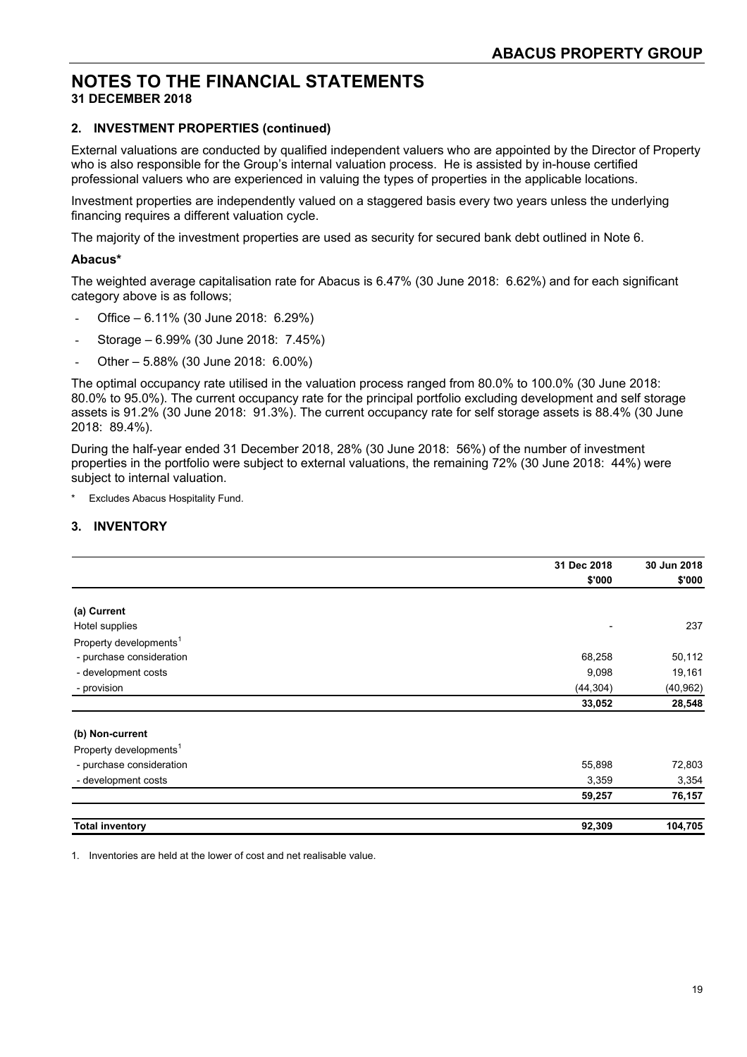#### **2. INVESTMENT PROPERTIES (continued)**

External valuations are conducted by qualified independent valuers who are appointed by the Director of Property who is also responsible for the Group's internal valuation process. He is assisted by in-house certified professional valuers who are experienced in valuing the types of properties in the applicable locations.

Investment properties are independently valued on a staggered basis every two years unless the underlying financing requires a different valuation cycle.

The majority of the investment properties are used as security for secured bank debt outlined in Note 6.

#### **Abacus\***

The weighted average capitalisation rate for Abacus is 6.47% (30 June 2018: 6.62%) and for each significant category above is as follows;

- Office 6.11% (30 June 2018: 6.29%)
- Storage 6.99% (30 June 2018: 7.45%)
- Other 5.88% (30 June 2018: 6.00%)

The optimal occupancy rate utilised in the valuation process ranged from 80.0% to 100.0% (30 June 2018: 80.0% to 95.0%). The current occupancy rate for the principal portfolio excluding development and self storage assets is 91.2% (30 June 2018: 91.3%). The current occupancy rate for self storage assets is 88.4% (30 June 2018: 89.4%).

During the half-year ended 31 December 2018, 28% (30 June 2018: 56%) of the number of investment properties in the portfolio were subject to external valuations, the remaining 72% (30 June 2018: 44%) were subject to internal valuation.

**Excludes Abacus Hospitality Fund.** 

#### **3. INVENTORY**

|                                    | 31 Dec 2018              | 30 Jun 2018 |
|------------------------------------|--------------------------|-------------|
|                                    | \$'000                   | \$'000      |
| (a) Current                        |                          |             |
| Hotel supplies                     | $\overline{\phantom{a}}$ | 237         |
| Property developments <sup>1</sup> |                          |             |
| - purchase consideration           | 68,258                   | 50,112      |
| - development costs                | 9,098                    | 19,161      |
| - provision                        | (44, 304)                | (40, 962)   |
|                                    | 33,052                   | 28,548      |
| (b) Non-current                    |                          |             |
| Property developments <sup>1</sup> |                          |             |
| - purchase consideration           | 55,898                   | 72,803      |
| - development costs                | 3,359                    | 3,354       |
|                                    | 59,257                   | 76,157      |
| <b>Total inventory</b>             | 92,309                   | 104,705     |

1. Inventories are held at the lower of cost and net realisable value.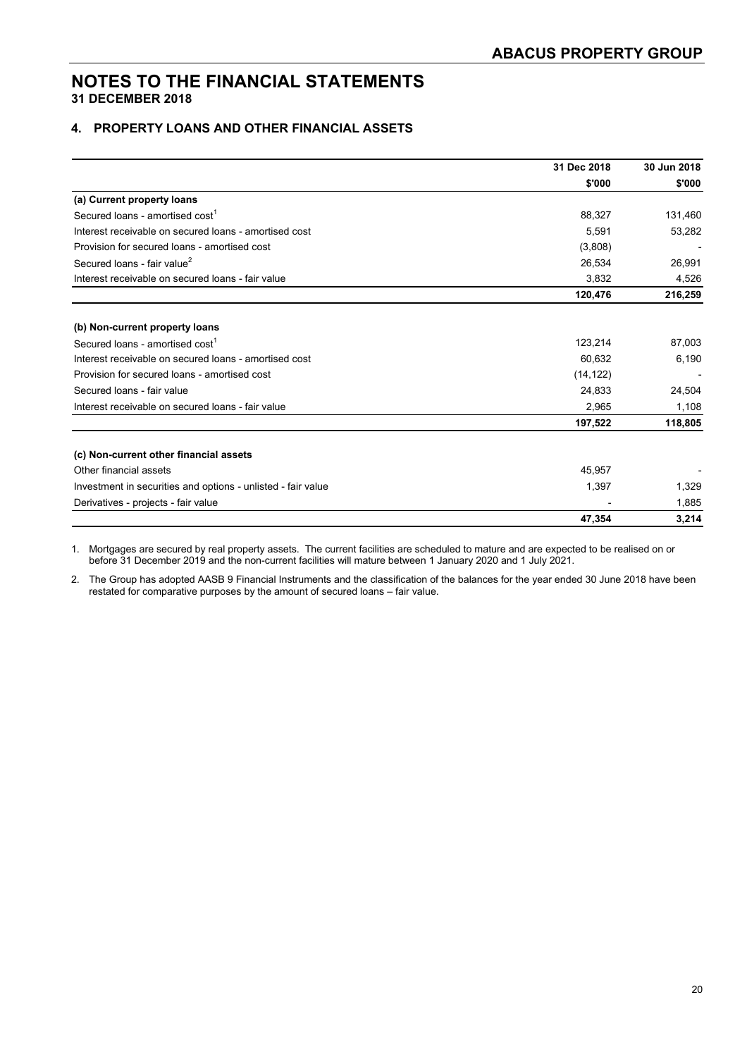#### **4. PROPERTY LOANS AND OTHER FINANCIAL ASSETS**

|                                                              | 31 Dec 2018 | 30 Jun 2018 |
|--------------------------------------------------------------|-------------|-------------|
|                                                              | \$'000      | \$'000      |
| (a) Current property loans                                   |             |             |
| Secured loans - amortised cost <sup>1</sup>                  | 88,327      | 131,460     |
| Interest receivable on secured loans - amortised cost        | 5,591       | 53,282      |
| Provision for secured loans - amortised cost                 | (3,808)     |             |
| Secured loans - fair value <sup>2</sup>                      | 26,534      | 26,991      |
| Interest receivable on secured loans - fair value            | 3,832       | 4,526       |
|                                                              | 120,476     | 216,259     |
| (b) Non-current property loans                               |             |             |
| Secured loans - amortised cost <sup>1</sup>                  | 123,214     | 87,003      |
| Interest receivable on secured loans - amortised cost        | 60,632      | 6,190       |
| Provision for secured loans - amortised cost                 | (14, 122)   |             |
| Secured loans - fair value                                   | 24,833      | 24,504      |
| Interest receivable on secured loans - fair value            | 2,965       | 1,108       |
|                                                              | 197,522     | 118,805     |
| (c) Non-current other financial assets                       |             |             |
| Other financial assets                                       | 45,957      |             |
| Investment in securities and options - unlisted - fair value | 1,397       | 1,329       |
| Derivatives - projects - fair value                          |             | 1,885       |
|                                                              | 47,354      | 3,214       |

1. Mortgages are secured by real property assets. The current facilities are scheduled to mature and are expected to be realised on or before 31 December 2019 and the non-current facilities will mature between 1 January 2020 and 1 July 2021.

2. The Group has adopted AASB 9 Financial Instruments and the classification of the balances for the year ended 30 June 2018 have been restated for comparative purposes by the amount of secured loans – fair value.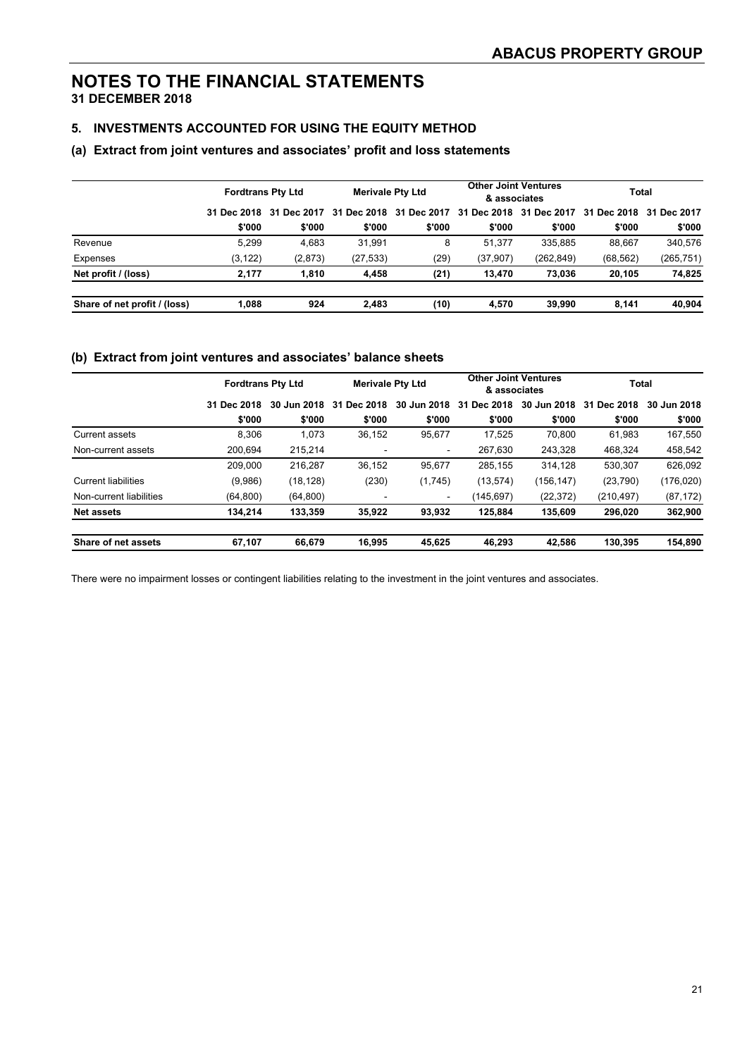#### **5. INVESTMENTS ACCOUNTED FOR USING THE EQUITY METHOD**

#### **(a) Extract from joint ventures and associates' profit and loss statements**

|                              | <b>Fordtrans Pty Ltd</b> |             | <b>Merivale Pty Ltd</b> |             | <b>Other Joint Ventures</b><br>& associates |                         | <b>Total</b> |             |
|------------------------------|--------------------------|-------------|-------------------------|-------------|---------------------------------------------|-------------------------|--------------|-------------|
|                              | 31 Dec 2018              | 31 Dec 2017 | 31 Dec 2018             | 31 Dec 2017 |                                             | 31 Dec 2018 31 Dec 2017 | 31 Dec 2018  | 31 Dec 2017 |
|                              | \$'000                   | \$'000      | \$'000                  | \$'000      | \$'000                                      | \$'000                  | \$'000       | \$'000      |
| Revenue                      | 5.299                    | 4.683       | 31.991                  | 8           | 51.377                                      | 335.885                 | 88.667       | 340.576     |
| Expenses                     | (3, 122)                 | (2,873)     | (27,533)                | (29)        | (37,907)                                    | (262, 849)              | (68, 562)    | (265,751)   |
| Net profit / (loss)          | 2,177                    | 1.810       | 4,458                   | (21)        | 13.470                                      | 73,036                  | 20,105       | 74,825      |
| Share of net profit / (loss) | 1.088                    | 924         | 2.483                   | (10)        | 4.570                                       | 39.990                  | 8.141        | 40,904      |

#### **(b) Extract from joint ventures and associates' balance sheets**

|                            | <b>Fordtrans Pty Ltd</b> |             | <b>Merivale Pty Ltd</b> |                | <b>Other Joint Ventures</b><br>& associates |             | <b>Total</b> |             |
|----------------------------|--------------------------|-------------|-------------------------|----------------|---------------------------------------------|-------------|--------------|-------------|
|                            | 31 Dec 2018              | 30 Jun 2018 | Dec 2018<br>31          | 30 Jun 2018    | Dec 2018<br>31                              | 30 Jun 2018 | 31 Dec 2018  | 30 Jun 2018 |
|                            | \$'000                   | \$'000      | \$'000                  | \$'000         | \$'000                                      | \$'000      | \$'000       | \$'000      |
| Current assets             | 8.306                    | 1.073       | 36,152                  | 95,677         | 17.525                                      | 70.800      | 61.983       | 167.550     |
| Non-current assets         | 200,694                  | 215,214     |                         | $\sim$         | 267,630                                     | 243,328     | 468,324      | 458,542     |
|                            | 209.000                  | 216.287     | 36,152                  | 95.677         | 285.155                                     | 314.128     | 530.307      | 626,092     |
| <b>Current liabilities</b> | (9,986)                  | (18, 128)   | (230)                   | (1,745)        | (13, 574)                                   | (156, 147)  | (23,790)     | (176,020)   |
| Non-current liabilities    | (64, 800)                | (64, 800)   |                         | $\blacksquare$ | (145.697)                                   | (22, 372)   | (210, 497)   | (87, 172)   |
| <b>Net assets</b>          | 134,214                  | 133,359     | 35,922                  | 93,932         | 125,884                                     | 135,609     | 296,020      | 362,900     |
| Share of net assets        | 67,107                   | 66.679      | 16.995                  | 45,625         | 46.293                                      | 42.586      | 130.395      | 154,890     |

There were no impairment losses or contingent liabilities relating to the investment in the joint ventures and associates.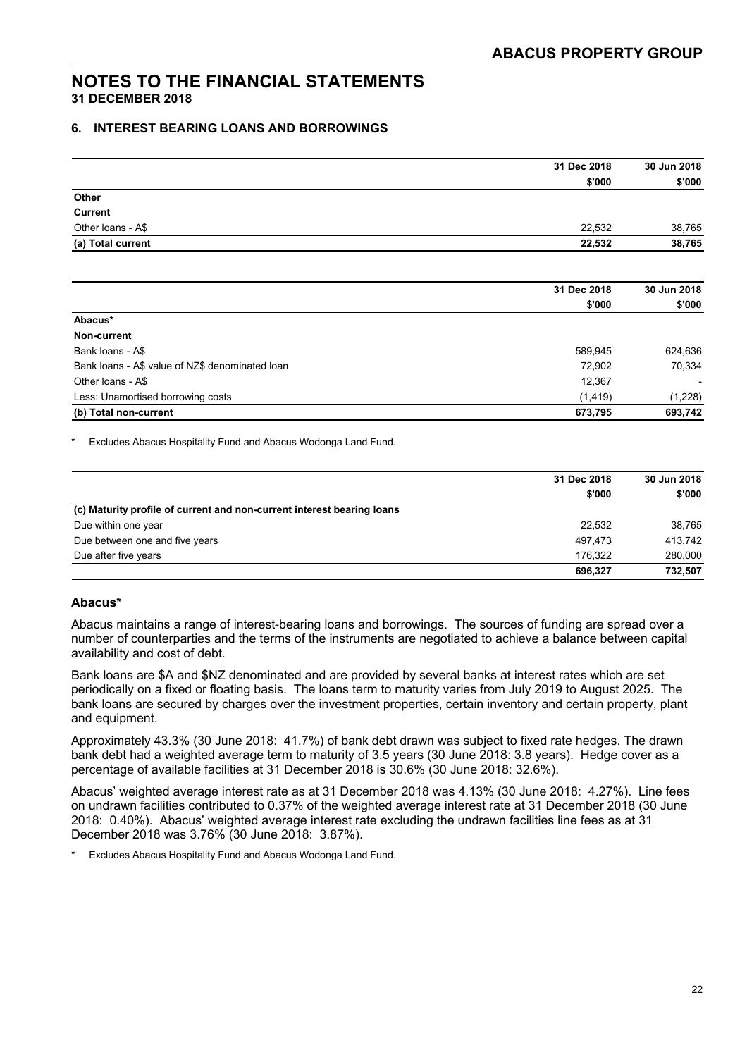#### **6. INTEREST BEARING LOANS AND BORROWINGS**

|                                                 | 31 Dec 2018 | 30 Jun 2018 |
|-------------------------------------------------|-------------|-------------|
|                                                 | \$'000      | \$'000      |
| Other                                           |             |             |
| <b>Current</b>                                  |             |             |
| Other loans - A\$                               | 22,532      | 38,765      |
| (a) Total current                               | 22,532      | 38,765      |
|                                                 | 31 Dec 2018 | 30 Jun 2018 |
|                                                 | \$'000      | \$'000      |
| Abacus*                                         |             |             |
| Non-current                                     |             |             |
| Bank loans - A\$                                | 589,945     | 624,636     |
| Bank loans - A\$ value of NZ\$ denominated loan | 72,902      | 70,334      |
| Other loans - A\$                               | 12,367      |             |
| Less: Unamortised borrowing costs               | (1, 419)    | (1,228)     |
| (b) Total non-current                           | 673,795     | 693,742     |

Excludes Abacus Hospitality Fund and Abacus Wodonga Land Fund.

|                                                                        | 31 Dec 2018 | 30 Jun 2018 |
|------------------------------------------------------------------------|-------------|-------------|
|                                                                        | \$'000      | \$'000      |
| (c) Maturity profile of current and non-current interest bearing loans |             |             |
| Due within one year                                                    | 22.532      | 38,765      |
| Due between one and five years                                         | 497.473     | 413.742     |
| Due after five years                                                   | 176.322     | 280,000     |
|                                                                        | 696.327     | 732,507     |

#### **Abacus\***

Abacus maintains a range of interest-bearing loans and borrowings. The sources of funding are spread over a number of counterparties and the terms of the instruments are negotiated to achieve a balance between capital availability and cost of debt.

Bank loans are \$A and \$NZ denominated and are provided by several banks at interest rates which are set periodically on a fixed or floating basis. The loans term to maturity varies from July 2019 to August 2025. The bank loans are secured by charges over the investment properties, certain inventory and certain property, plant and equipment.

Approximately 43.3% (30 June 2018: 41.7%) of bank debt drawn was subject to fixed rate hedges. The drawn bank debt had a weighted average term to maturity of 3.5 years (30 June 2018: 3.8 years). Hedge cover as a percentage of available facilities at 31 December 2018 is 30.6% (30 June 2018: 32.6%).

Abacus' weighted average interest rate as at 31 December 2018 was 4.13% (30 June 2018: 4.27%). Line fees on undrawn facilities contributed to 0.37% of the weighted average interest rate at 31 December 2018 (30 June 2018: 0.40%). Abacus' weighted average interest rate excluding the undrawn facilities line fees as at 31 December 2018 was 3.76% (30 June 2018: 3.87%).

Excludes Abacus Hospitality Fund and Abacus Wodonga Land Fund.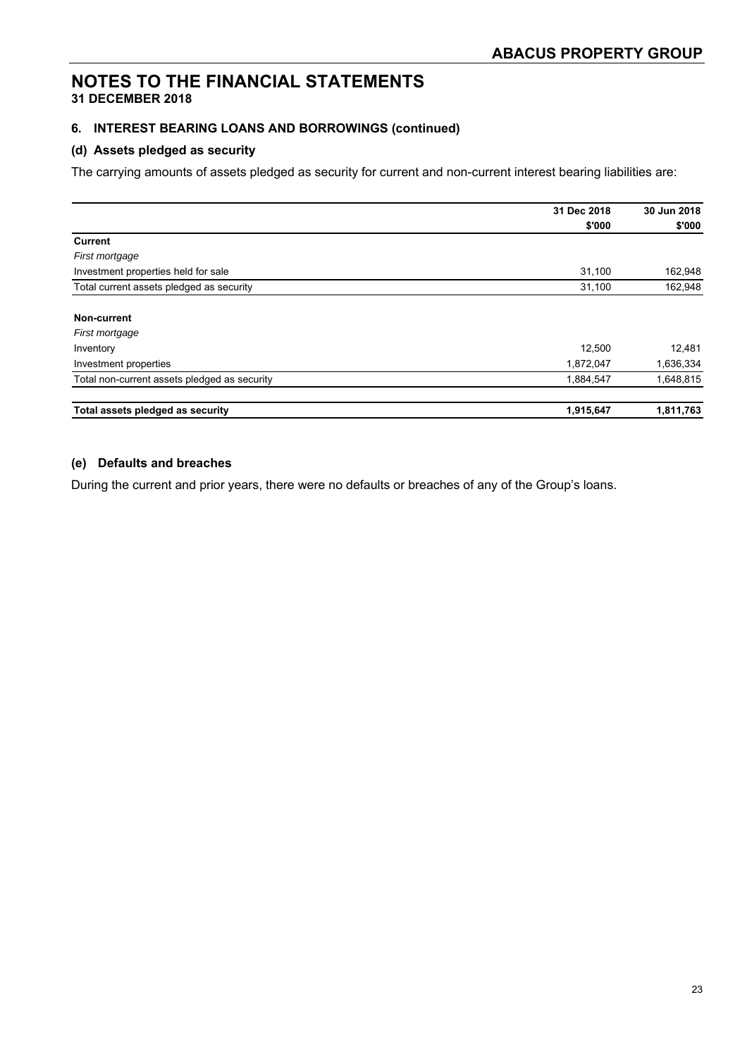## **NOTES TO THE FINANCIAL STATEMENTS**

#### **31 DECEMBER 2018**

#### **6. INTEREST BEARING LOANS AND BORROWINGS (continued)**

#### **(d) Assets pledged as security**

The carrying amounts of assets pledged as security for current and non-current interest bearing liabilities are:

|                                              | 31 Dec 2018 | 30 Jun 2018 |
|----------------------------------------------|-------------|-------------|
|                                              | \$'000      | \$'000      |
| <b>Current</b>                               |             |             |
| First mortgage                               |             |             |
| Investment properties held for sale          | 31,100      | 162,948     |
| Total current assets pledged as security     | 31,100      | 162,948     |
| Non-current                                  |             |             |
| First mortgage                               |             |             |
| Inventory                                    | 12,500      | 12,481      |
| Investment properties                        | 1,872,047   | 1,636,334   |
| Total non-current assets pledged as security | 1,884,547   | 1,648,815   |
| Total assets pledged as security             | 1,915,647   | 1,811,763   |

#### **(e) Defaults and breaches**

During the current and prior years, there were no defaults or breaches of any of the Group's loans.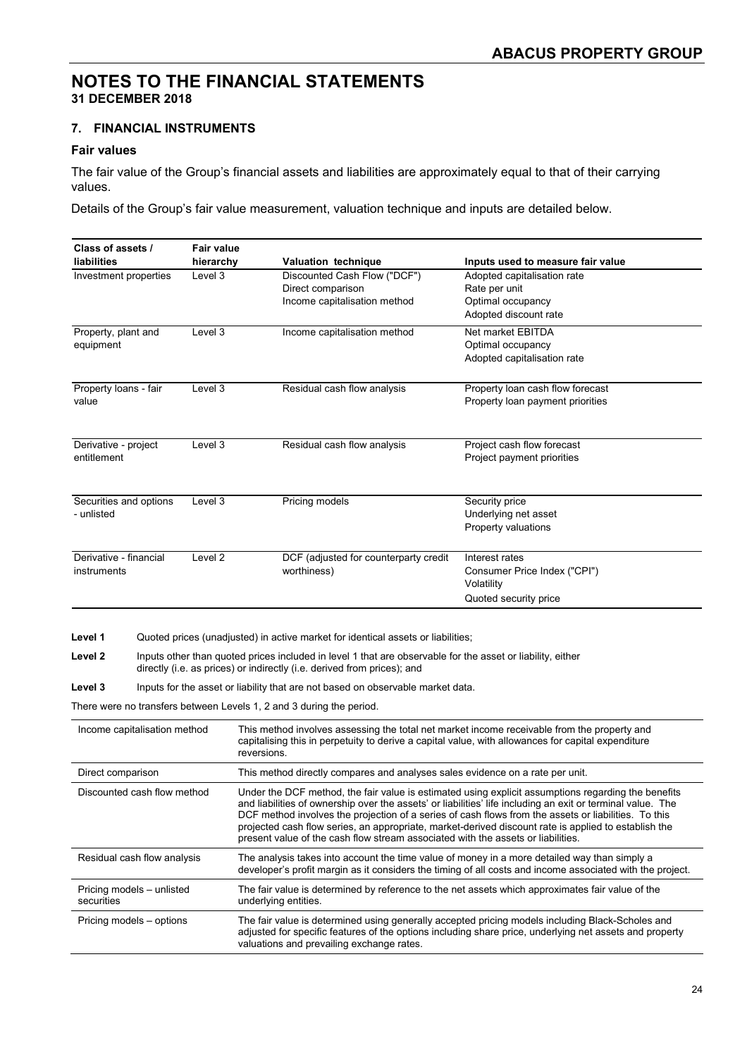#### **7. FINANCIAL INSTRUMENTS**

#### **Fair values**

The fair value of the Group's financial assets and liabilities are approximately equal to that of their carrying values.

Details of the Group's fair value measurement, valuation technique and inputs are detailed below.

| Class of assets /<br>liabilities                                                                                                                                                                                                                                                                                                                                                                                                                                                                                                                      | <b>Fair value</b><br>hierarchy | Valuation technique                                                                                                                                                                                                                                                                                                                                          | Inputs used to measure fair value                                                                                                                                                                           |
|-------------------------------------------------------------------------------------------------------------------------------------------------------------------------------------------------------------------------------------------------------------------------------------------------------------------------------------------------------------------------------------------------------------------------------------------------------------------------------------------------------------------------------------------------------|--------------------------------|--------------------------------------------------------------------------------------------------------------------------------------------------------------------------------------------------------------------------------------------------------------------------------------------------------------------------------------------------------------|-------------------------------------------------------------------------------------------------------------------------------------------------------------------------------------------------------------|
| Investment properties                                                                                                                                                                                                                                                                                                                                                                                                                                                                                                                                 | Level 3                        | Discounted Cash Flow ("DCF")<br>Direct comparison<br>Income capitalisation method                                                                                                                                                                                                                                                                            | Adopted capitalisation rate<br>Rate per unit<br>Optimal occupancy<br>Adopted discount rate                                                                                                                  |
| Property, plant and<br>equipment                                                                                                                                                                                                                                                                                                                                                                                                                                                                                                                      | Level 3                        | Income capitalisation method                                                                                                                                                                                                                                                                                                                                 | Net market EBITDA<br>Optimal occupancy<br>Adopted capitalisation rate                                                                                                                                       |
| Property loans - fair<br>value                                                                                                                                                                                                                                                                                                                                                                                                                                                                                                                        | Level 3                        | Residual cash flow analysis                                                                                                                                                                                                                                                                                                                                  | Property loan cash flow forecast<br>Property loan payment priorities                                                                                                                                        |
| Derivative - project<br>entitlement                                                                                                                                                                                                                                                                                                                                                                                                                                                                                                                   | Level 3                        | Residual cash flow analysis                                                                                                                                                                                                                                                                                                                                  | Project cash flow forecast<br>Project payment priorities                                                                                                                                                    |
| Securities and options<br>- unlisted                                                                                                                                                                                                                                                                                                                                                                                                                                                                                                                  | Level 3                        | Pricing models                                                                                                                                                                                                                                                                                                                                               | Security price<br>Underlying net asset<br>Property valuations                                                                                                                                               |
| Derivative - financial<br>instruments                                                                                                                                                                                                                                                                                                                                                                                                                                                                                                                 | Level 2                        | DCF (adjusted for counterparty credit<br>worthiness)                                                                                                                                                                                                                                                                                                         | Interest rates<br>Consumer Price Index ("CPI")<br>Volatility<br>Quoted security price                                                                                                                       |
| Level 1<br>Level 2<br>Level 3                                                                                                                                                                                                                                                                                                                                                                                                                                                                                                                         |                                | Quoted prices (unadjusted) in active market for identical assets or liabilities;<br>Inputs other than quoted prices included in level 1 that are observable for the asset or liability, either<br>directly (i.e. as prices) or indirectly (i.e. derived from prices); and<br>Inputs for the asset or liability that are not based on observable market data. |                                                                                                                                                                                                             |
| Income capitalisation method                                                                                                                                                                                                                                                                                                                                                                                                                                                                                                                          |                                | There were no transfers between Levels 1, 2 and 3 during the period.<br>This method involves assessing the total net market income receivable from the property and<br>capitalising this in perpetuity to derive a capital value, with allowances for capital expenditure<br>reversions.                                                                     |                                                                                                                                                                                                             |
| Direct comparison                                                                                                                                                                                                                                                                                                                                                                                                                                                                                                                                     |                                | This method directly compares and analyses sales evidence on a rate per unit.                                                                                                                                                                                                                                                                                |                                                                                                                                                                                                             |
| Discounted cash flow method<br>Under the DCF method, the fair value is estimated using explicit assumptions regarding the benefits<br>and liabilities of ownership over the assets' or liabilities' life including an exit or terminal value. The<br>DCF method involves the projection of a series of cash flows from the assets or liabilities. To this<br>projected cash flow series, an appropriate, market-derived discount rate is applied to establish the<br>present value of the cash flow stream associated with the assets or liabilities. |                                |                                                                                                                                                                                                                                                                                                                                                              |                                                                                                                                                                                                             |
| Residual cash flow analysis                                                                                                                                                                                                                                                                                                                                                                                                                                                                                                                           |                                | The analysis takes into account the time value of money in a more detailed way than simply a                                                                                                                                                                                                                                                                 | developer's profit margin as it considers the timing of all costs and income associated with the project.                                                                                                   |
| Pricing models - unlisted<br>securities                                                                                                                                                                                                                                                                                                                                                                                                                                                                                                               |                                | The fair value is determined by reference to the net assets which approximates fair value of the<br>underlying entities.                                                                                                                                                                                                                                     |                                                                                                                                                                                                             |
| Pricing models – options                                                                                                                                                                                                                                                                                                                                                                                                                                                                                                                              |                                | valuations and prevailing exchange rates.                                                                                                                                                                                                                                                                                                                    | The fair value is determined using generally accepted pricing models including Black-Scholes and<br>adjusted for specific features of the options including share price, underlying net assets and property |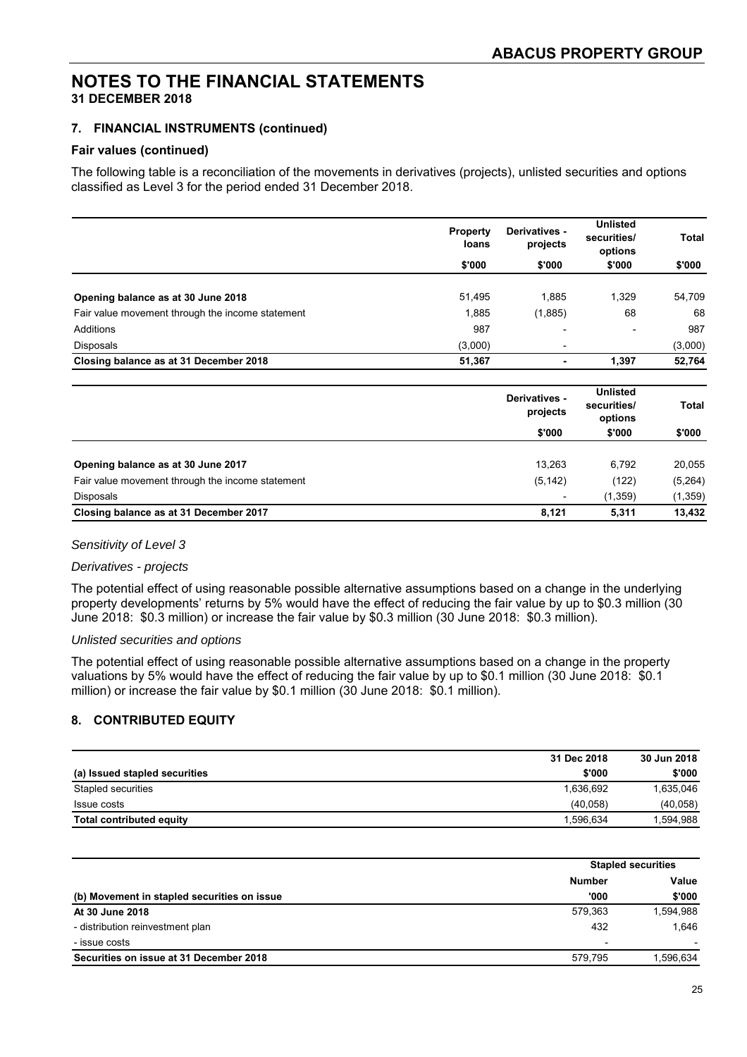#### **7. FINANCIAL INSTRUMENTS (continued)**

#### **Fair values (continued)**

The following table is a reconciliation of the movements in derivatives (projects), unlisted securities and options classified as Level 3 for the period ended 31 December 2018.

|                                                  | <b>Property</b><br>loans | Derivatives -<br>projects | <b>Unlisted</b><br>securities/<br>options | Total   |
|--------------------------------------------------|--------------------------|---------------------------|-------------------------------------------|---------|
|                                                  | \$'000                   | \$'000                    | \$'000                                    | \$'000  |
| Opening balance as at 30 June 2018               | 51,495                   | 1.885                     | 1.329                                     | 54,709  |
| Fair value movement through the income statement | 1,885                    | (1,885)                   | 68                                        | 68      |
| Additions                                        | 987                      | $\overline{\phantom{0}}$  | $\overline{\phantom{a}}$                  | 987     |
| Disposals                                        | (3,000)                  | ۰                         |                                           | (3,000) |
| Closing balance as at 31 December 2018           | 51,367                   | ٠                         | 1,397                                     | 52,764  |

|                                                  | Derivatives -<br>projects | <b>Unlisted</b><br>securities/<br>options<br>\$'000 | <b>Total</b><br>\$'000 |
|--------------------------------------------------|---------------------------|-----------------------------------------------------|------------------------|
|                                                  | \$'000                    |                                                     |                        |
| Opening balance as at 30 June 2017               | 13,263                    | 6,792                                               | 20,055                 |
| Fair value movement through the income statement | (5, 142)                  | (122)                                               | (5,264)                |
| <b>Disposals</b>                                 |                           | (1, 359)                                            | (1, 359)               |
| Closing balance as at 31 December 2017           | 8.121                     | 5.311                                               | 13,432                 |

#### *Sensitivity of Level 3*

#### *Derivatives - projects*

The potential effect of using reasonable possible alternative assumptions based on a change in the underlying property developments' returns by 5% would have the effect of reducing the fair value by up to \$0.3 million (30 June 2018: \$0.3 million) or increase the fair value by \$0.3 million (30 June 2018: \$0.3 million).

#### *Unlisted securities and options*

The potential effect of using reasonable possible alternative assumptions based on a change in the property valuations by 5% would have the effect of reducing the fair value by up to \$0.1 million (30 June 2018: \$0.1 million) or increase the fair value by \$0.1 million (30 June 2018: \$0.1 million).

#### **8. CONTRIBUTED EQUITY**

|                                 | 31 Dec 2018 | 30 Jun 2018 |
|---------------------------------|-------------|-------------|
| (a) Issued stapled securities   | \$'000      | \$'000      |
| Stapled securities              | 1.636.692   | 1,635,046   |
| Issue costs                     | (40.058)    | (40,058)    |
| <b>Total contributed equity</b> | 1.596.634   | 1,594,988   |

|                                             |                          | <b>Stapled securities</b> |  |
|---------------------------------------------|--------------------------|---------------------------|--|
|                                             | <b>Number</b>            | Value                     |  |
| (b) Movement in stapled securities on issue | '000                     | \$'000                    |  |
| At 30 June 2018                             | 579.363                  | 1,594,988                 |  |
| - distribution reinvestment plan            | 432                      | 1.646                     |  |
| - issue costs                               | $\overline{\phantom{a}}$ |                           |  |
| Securities on issue at 31 December 2018     | 579.795                  | 1,596,634                 |  |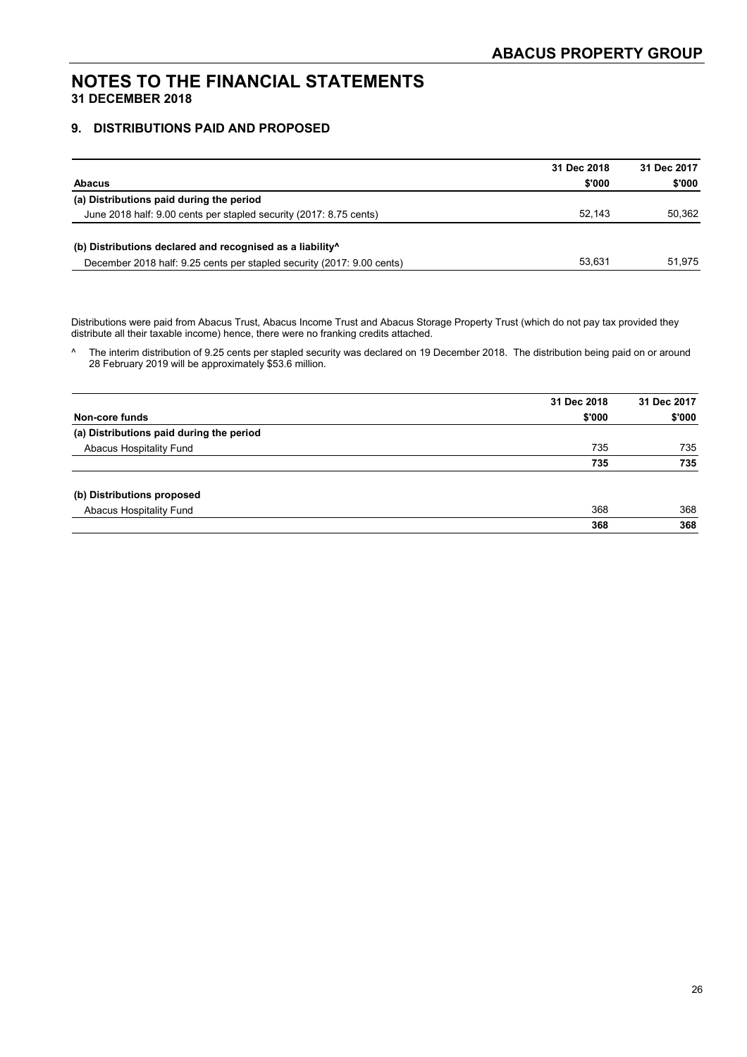#### **9. DISTRIBUTIONS PAID AND PROPOSED**

|                                                                        | 31 Dec 2018 | 31 Dec 2017 |
|------------------------------------------------------------------------|-------------|-------------|
| <b>Abacus</b>                                                          | \$'000      | \$'000      |
| (a) Distributions paid during the period                               |             |             |
| June 2018 half: 9.00 cents per stapled security (2017: 8.75 cents)     | 52.143      | 50.362      |
| (b) Distributions declared and recognised as a liability <sup>^</sup>  |             |             |
| December 2018 half: 9.25 cents per stapled security (2017: 9.00 cents) | 53.631      | 51.975      |

Distributions were paid from Abacus Trust, Abacus Income Trust and Abacus Storage Property Trust (which do not pay tax provided they distribute all their taxable income) hence, there were no franking credits attached.

^ The interim distribution of 9.25 cents per stapled security was declared on 19 December 2018. The distribution being paid on or around 28 February 2019 will be approximately \$53.6 million.

|                                          | 31 Dec 2018 | 31 Dec 2017 |
|------------------------------------------|-------------|-------------|
| Non-core funds                           | \$'000      | \$'000      |
| (a) Distributions paid during the period |             |             |
| Abacus Hospitality Fund                  | 735         | 735         |
|                                          | 735         | 735         |
| (b) Distributions proposed               |             |             |
| Abacus Hospitality Fund                  | 368         | 368         |
|                                          | 368         | 368         |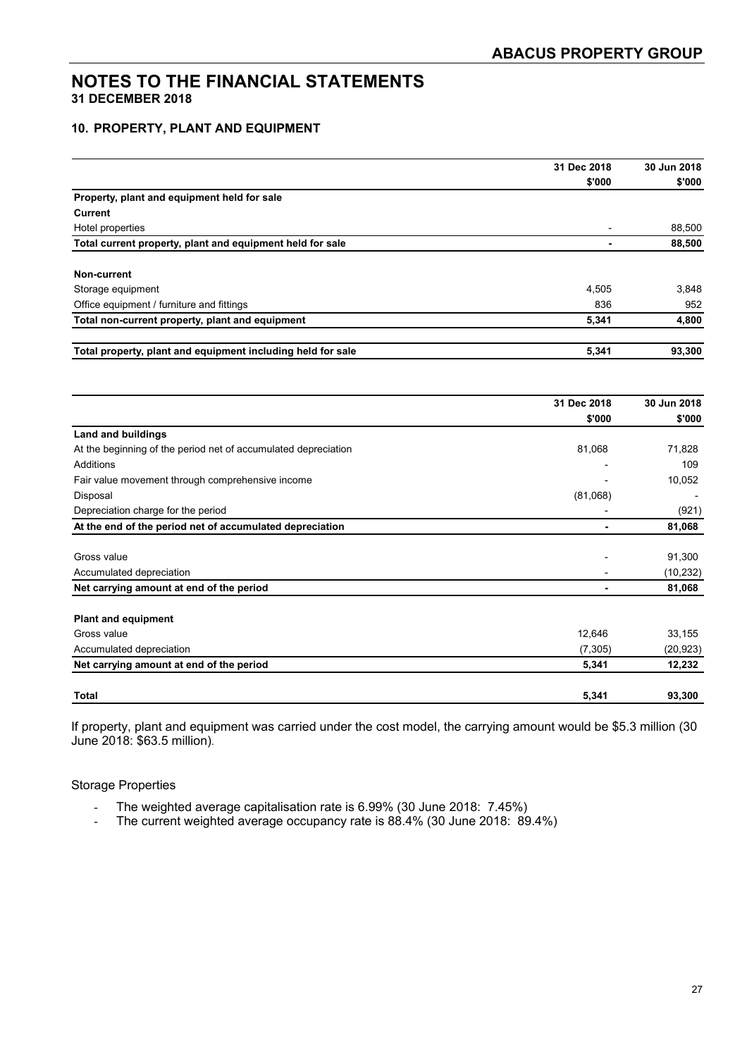#### **10. PROPERTY, PLANT AND EQUIPMENT**

|                                                                | 31 Dec 2018 | 30 Jun 2018 |
|----------------------------------------------------------------|-------------|-------------|
|                                                                | \$'000      | \$'000      |
| Property, plant and equipment held for sale                    |             |             |
| <b>Current</b>                                                 |             |             |
| Hotel properties                                               |             | 88,500      |
| Total current property, plant and equipment held for sale      | ٠           | 88,500      |
| Non-current                                                    |             |             |
| Storage equipment                                              | 4,505       | 3,848       |
| Office equipment / furniture and fittings                      | 836         | 952         |
| Total non-current property, plant and equipment                | 5,341       | 4,800       |
| Total property, plant and equipment including held for sale    | 5,341       | 93,300      |
|                                                                | 31 Dec 2018 | 30 Jun 2018 |
|                                                                | \$'000      | \$'000      |
| <b>Land and buildings</b>                                      |             |             |
| At the beginning of the period net of accumulated depreciation | 81,068      | 71,828      |
| <b>Additions</b>                                               |             | 109         |
| Fair value movement through comprehensive income               |             | 10,052      |
| Disposal                                                       | (81,068)    |             |
| Depreciation charge for the period                             |             | (921)       |
| At the end of the period net of accumulated depreciation       |             | 81,068      |
| Gross value                                                    |             | 91,300      |
| Accumulated depreciation                                       |             | (10, 232)   |
| Net carrying amount at end of the period                       |             | 81,068      |
| <b>Plant and equipment</b>                                     |             |             |
| Gross value                                                    | 12,646      | 33,155      |
| Accumulated depreciation                                       | (7, 305)    | (20, 923)   |
| Net carrying amount at end of the period                       | 5,341       | 12,232      |
| <b>Total</b>                                                   | 5,341       | 93,300      |

If property, plant and equipment was carried under the cost model, the carrying amount would be \$5.3 million (30 June 2018: \$63.5 million).

#### Storage Properties

- The weighted average capitalisation rate is 6.99% (30 June 2018: 7.45%)
- The current weighted average occupancy rate is 88.4% (30 June 2018: 89.4%)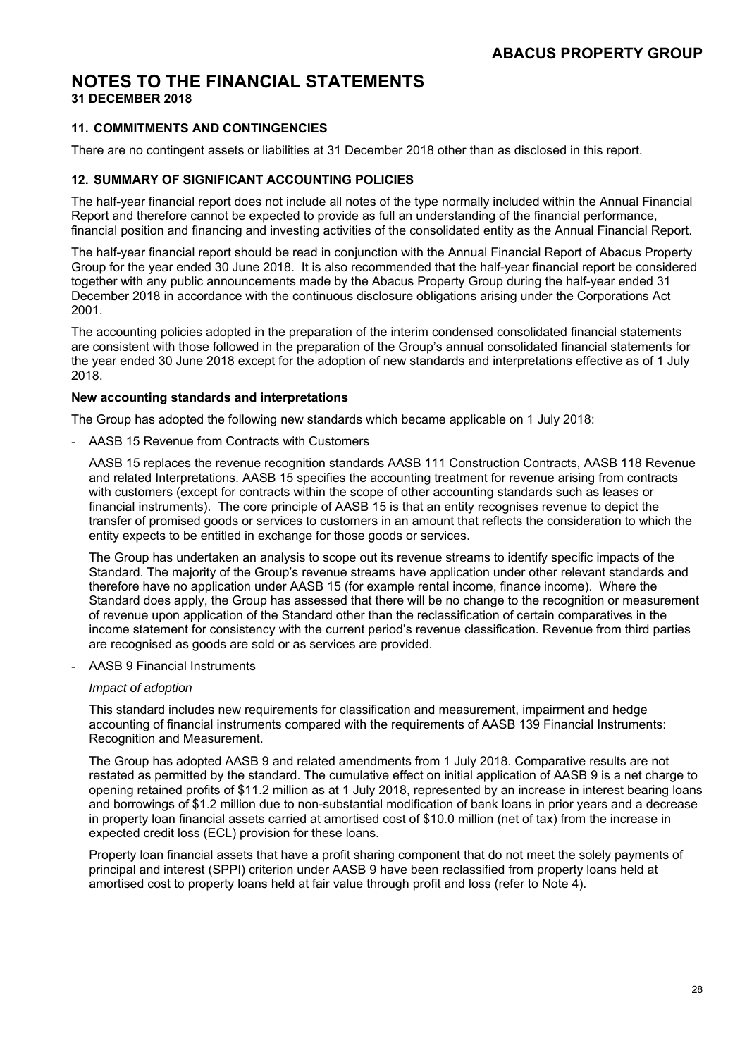## **NOTES TO THE FINANCIAL STATEMENTS**

**31 DECEMBER 2018** 

#### **11. COMMITMENTS AND CONTINGENCIES**

There are no contingent assets or liabilities at 31 December 2018 other than as disclosed in this report.

#### **12. SUMMARY OF SIGNIFICANT ACCOUNTING POLICIES**

The half-year financial report does not include all notes of the type normally included within the Annual Financial Report and therefore cannot be expected to provide as full an understanding of the financial performance, financial position and financing and investing activities of the consolidated entity as the Annual Financial Report.

The half-year financial report should be read in conjunction with the Annual Financial Report of Abacus Property Group for the year ended 30 June 2018. It is also recommended that the half-year financial report be considered together with any public announcements made by the Abacus Property Group during the half-year ended 31 December 2018 in accordance with the continuous disclosure obligations arising under the Corporations Act 2001.

The accounting policies adopted in the preparation of the interim condensed consolidated financial statements are consistent with those followed in the preparation of the Group's annual consolidated financial statements for the year ended 30 June 2018 except for the adoption of new standards and interpretations effective as of 1 July 2018.

#### **New accounting standards and interpretations**

The Group has adopted the following new standards which became applicable on 1 July 2018:

- AASB 15 Revenue from Contracts with Customers

AASB 15 replaces the revenue recognition standards AASB 111 Construction Contracts, AASB 118 Revenue and related Interpretations. AASB 15 specifies the accounting treatment for revenue arising from contracts with customers (except for contracts within the scope of other accounting standards such as leases or financial instruments). The core principle of AASB 15 is that an entity recognises revenue to depict the transfer of promised goods or services to customers in an amount that reflects the consideration to which the entity expects to be entitled in exchange for those goods or services.

The Group has undertaken an analysis to scope out its revenue streams to identify specific impacts of the Standard. The majority of the Group's revenue streams have application under other relevant standards and therefore have no application under AASB 15 (for example rental income, finance income). Where the Standard does apply, the Group has assessed that there will be no change to the recognition or measurement of revenue upon application of the Standard other than the reclassification of certain comparatives in the income statement for consistency with the current period's revenue classification. Revenue from third parties are recognised as goods are sold or as services are provided.

AASB 9 Financial Instruments

#### *Impact of adoption*

This standard includes new requirements for classification and measurement, impairment and hedge accounting of financial instruments compared with the requirements of AASB 139 Financial Instruments: Recognition and Measurement.

The Group has adopted AASB 9 and related amendments from 1 July 2018. Comparative results are not restated as permitted by the standard. The cumulative effect on initial application of AASB 9 is a net charge to opening retained profits of \$11.2 million as at 1 July 2018, represented by an increase in interest bearing loans and borrowings of \$1.2 million due to non-substantial modification of bank loans in prior years and a decrease in property loan financial assets carried at amortised cost of \$10.0 million (net of tax) from the increase in expected credit loss (ECL) provision for these loans.

Property loan financial assets that have a profit sharing component that do not meet the solely payments of principal and interest (SPPI) criterion under AASB 9 have been reclassified from property loans held at amortised cost to property loans held at fair value through profit and loss (refer to Note 4).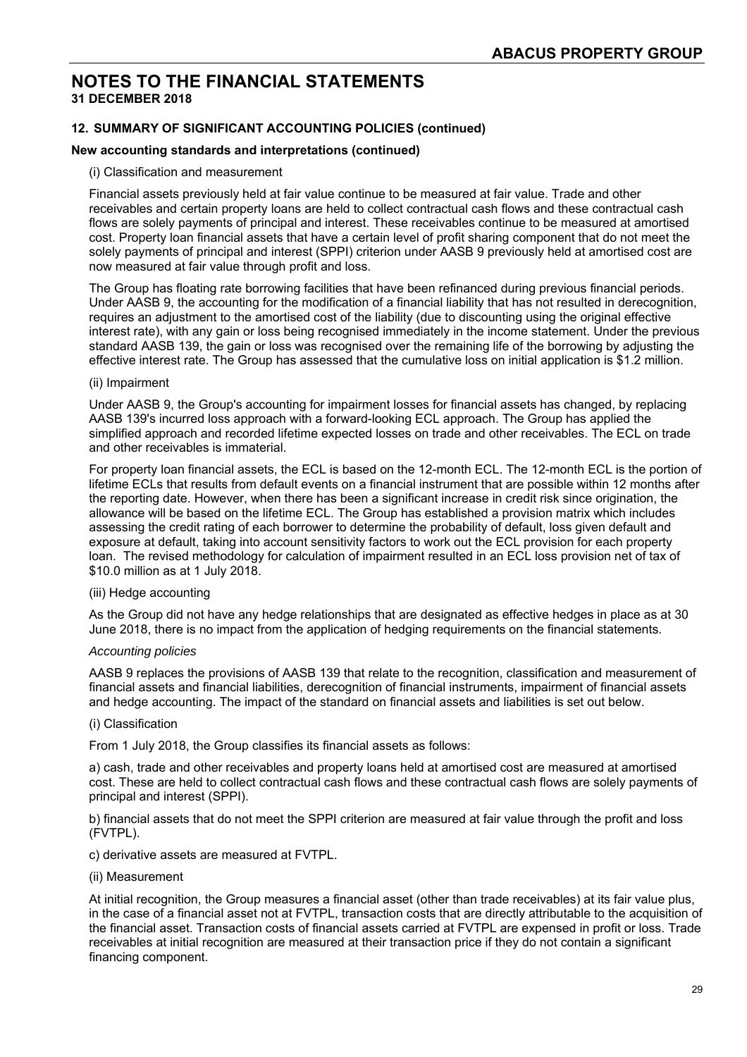#### **12. SUMMARY OF SIGNIFICANT ACCOUNTING POLICIES (continued)**

#### **New accounting standards and interpretations (continued)**

#### (i) Classification and measurement

Financial assets previously held at fair value continue to be measured at fair value. Trade and other receivables and certain property loans are held to collect contractual cash flows and these contractual cash flows are solely payments of principal and interest. These receivables continue to be measured at amortised cost. Property loan financial assets that have a certain level of profit sharing component that do not meet the solely payments of principal and interest (SPPI) criterion under AASB 9 previously held at amortised cost are now measured at fair value through profit and loss.

The Group has floating rate borrowing facilities that have been refinanced during previous financial periods. Under AASB 9, the accounting for the modification of a financial liability that has not resulted in derecognition, requires an adjustment to the amortised cost of the liability (due to discounting using the original effective interest rate), with any gain or loss being recognised immediately in the income statement. Under the previous standard AASB 139, the gain or loss was recognised over the remaining life of the borrowing by adjusting the effective interest rate. The Group has assessed that the cumulative loss on initial application is \$1.2 million.

#### (ii) Impairment

Under AASB 9, the Group's accounting for impairment losses for financial assets has changed, by replacing AASB 139's incurred loss approach with a forward-looking ECL approach. The Group has applied the simplified approach and recorded lifetime expected losses on trade and other receivables. The ECL on trade and other receivables is immaterial.

For property loan financial assets, the ECL is based on the 12-month ECL. The 12-month ECL is the portion of lifetime ECLs that results from default events on a financial instrument that are possible within 12 months after the reporting date. However, when there has been a significant increase in credit risk since origination, the allowance will be based on the lifetime ECL. The Group has established a provision matrix which includes assessing the credit rating of each borrower to determine the probability of default, loss given default and exposure at default, taking into account sensitivity factors to work out the ECL provision for each property loan. The revised methodology for calculation of impairment resulted in an ECL loss provision net of tax of \$10.0 million as at 1 July 2018.

#### (iii) Hedge accounting

As the Group did not have any hedge relationships that are designated as effective hedges in place as at 30 June 2018, there is no impact from the application of hedging requirements on the financial statements.

#### *Accounting policies*

AASB 9 replaces the provisions of AASB 139 that relate to the recognition, classification and measurement of financial assets and financial liabilities, derecognition of financial instruments, impairment of financial assets and hedge accounting. The impact of the standard on financial assets and liabilities is set out below.

#### (i) Classification

From 1 July 2018, the Group classifies its financial assets as follows:

a) cash, trade and other receivables and property loans held at amortised cost are measured at amortised cost. These are held to collect contractual cash flows and these contractual cash flows are solely payments of principal and interest (SPPI).

b) financial assets that do not meet the SPPI criterion are measured at fair value through the profit and loss (FVTPL).

c) derivative assets are measured at FVTPL.

#### (ii) Measurement

At initial recognition, the Group measures a financial asset (other than trade receivables) at its fair value plus, in the case of a financial asset not at FVTPL, transaction costs that are directly attributable to the acquisition of the financial asset. Transaction costs of financial assets carried at FVTPL are expensed in profit or loss. Trade receivables at initial recognition are measured at their transaction price if they do not contain a significant financing component.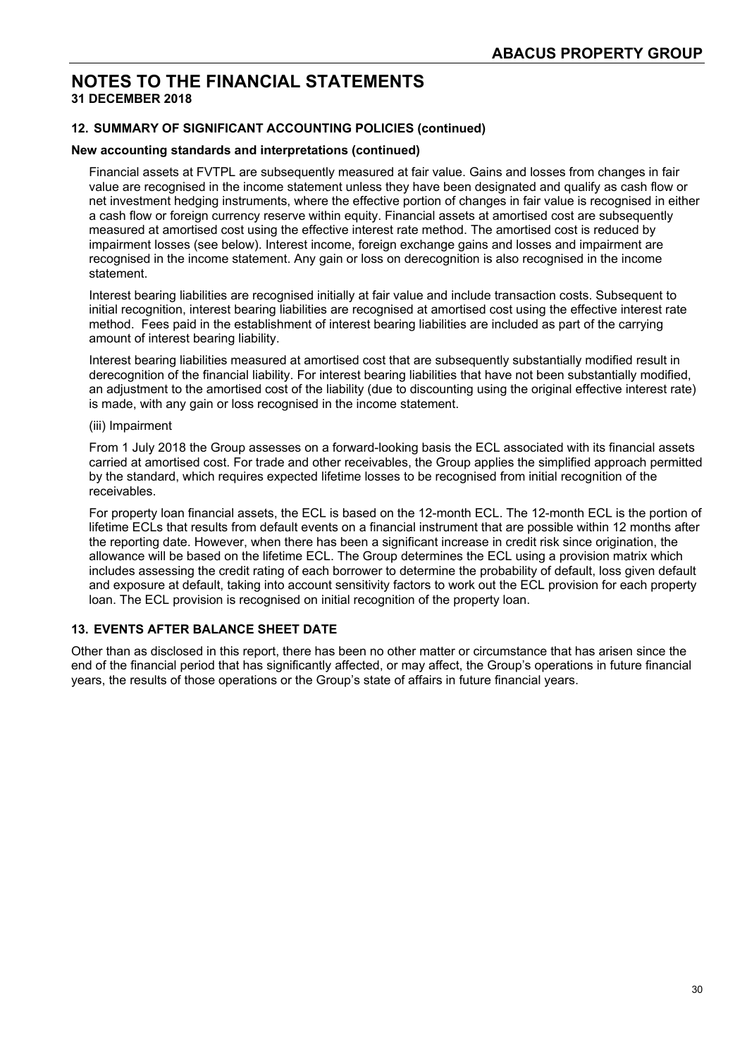#### **12. SUMMARY OF SIGNIFICANT ACCOUNTING POLICIES (continued)**

#### **New accounting standards and interpretations (continued)**

Financial assets at FVTPL are subsequently measured at fair value. Gains and losses from changes in fair value are recognised in the income statement unless they have been designated and qualify as cash flow or net investment hedging instruments, where the effective portion of changes in fair value is recognised in either a cash flow or foreign currency reserve within equity. Financial assets at amortised cost are subsequently measured at amortised cost using the effective interest rate method. The amortised cost is reduced by impairment losses (see below). Interest income, foreign exchange gains and losses and impairment are recognised in the income statement. Any gain or loss on derecognition is also recognised in the income statement.

Interest bearing liabilities are recognised initially at fair value and include transaction costs. Subsequent to initial recognition, interest bearing liabilities are recognised at amortised cost using the effective interest rate method. Fees paid in the establishment of interest bearing liabilities are included as part of the carrying amount of interest bearing liability.

Interest bearing liabilities measured at amortised cost that are subsequently substantially modified result in derecognition of the financial liability. For interest bearing liabilities that have not been substantially modified, an adjustment to the amortised cost of the liability (due to discounting using the original effective interest rate) is made, with any gain or loss recognised in the income statement.

#### (iii) Impairment

From 1 July 2018 the Group assesses on a forward-looking basis the ECL associated with its financial assets carried at amortised cost. For trade and other receivables, the Group applies the simplified approach permitted by the standard, which requires expected lifetime losses to be recognised from initial recognition of the receivables.

For property loan financial assets, the ECL is based on the 12-month ECL. The 12-month ECL is the portion of lifetime ECLs that results from default events on a financial instrument that are possible within 12 months after the reporting date. However, when there has been a significant increase in credit risk since origination, the allowance will be based on the lifetime ECL. The Group determines the ECL using a provision matrix which includes assessing the credit rating of each borrower to determine the probability of default, loss given default and exposure at default, taking into account sensitivity factors to work out the ECL provision for each property loan. The ECL provision is recognised on initial recognition of the property loan.

#### **13. EVENTS AFTER BALANCE SHEET DATE**

Other than as disclosed in this report, there has been no other matter or circumstance that has arisen since the end of the financial period that has significantly affected, or may affect, the Group's operations in future financial years, the results of those operations or the Group's state of affairs in future financial years.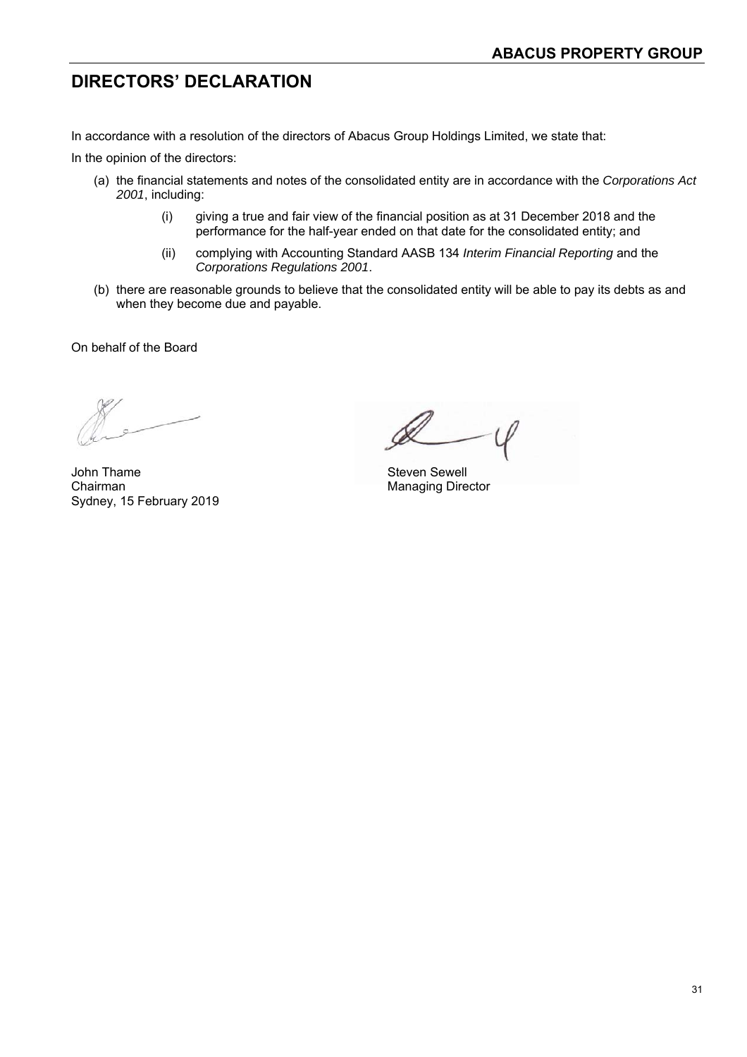### **DIRECTORS' DECLARATION**

In accordance with a resolution of the directors of Abacus Group Holdings Limited, we state that:

In the opinion of the directors:

- (a) the financial statements and notes of the consolidated entity are in accordance with the *Corporations Act 2001*, including:
	- (i) giving a true and fair view of the financial position as at 31 December 2018 and the performance for the half-year ended on that date for the consolidated entity; and
	- (ii) complying with Accounting Standard AASB 134 *Interim Financial Reporting* and the *Corporations Regulations 2001*.
- (b) there are reasonable grounds to believe that the consolidated entity will be able to pay its debts as and when they become due and payable.

On behalf of the Board

John Thame Steven Sewell Chairman **Managing Director** Managing Director Sydney, 15 February 2019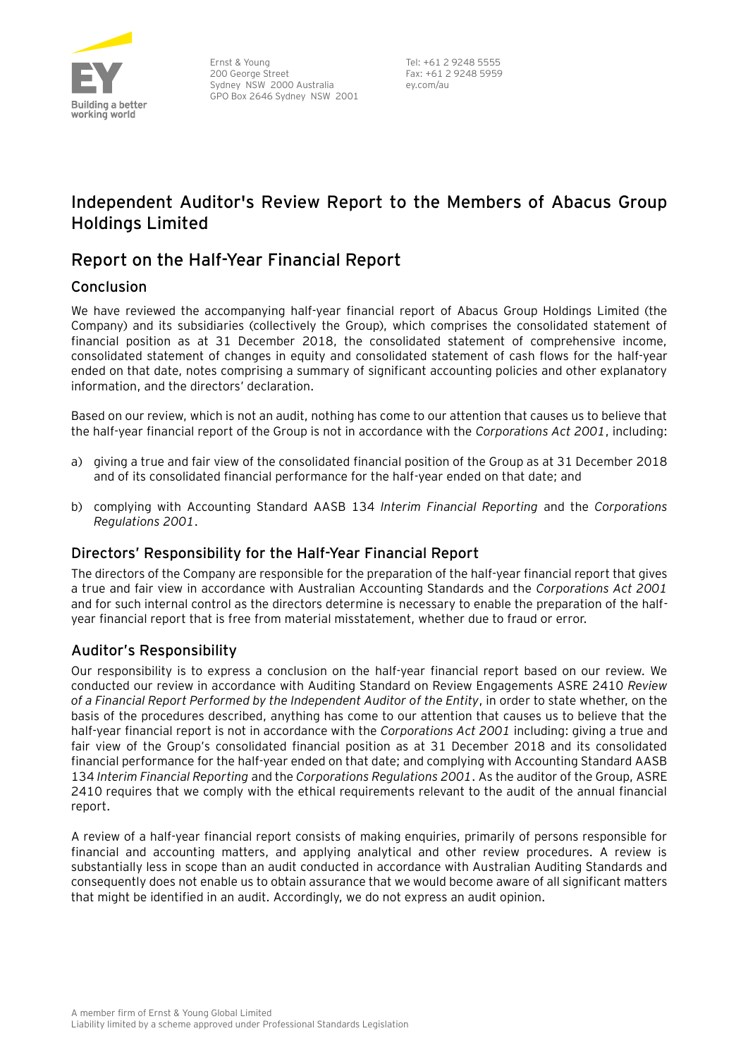

Ernst & Young 200 George Street Sydney NSW 2000 Australia GPO Box 2646 Sydney NSW 2001

Tel: +61 2 9248 5555 Fax: +61 2 9248 5959 ey.com/au

### **Independent Auditor's Review Report to the Members of Abacus Group Holdings Limited**

### **Report on the Half-Year Financial Report**

#### Conclusion

We have reviewed the accompanying half-year financial report of Abacus Group Holdings Limited (the Company) and its subsidiaries (collectively the Group), which comprises the consolidated statement of financial position as at 31 December 2018, the consolidated statement of comprehensive income, consolidated statement of changes in equity and consolidated statement of cash flows for the half-year ended on that date, notes comprising a summary of significant accounting policies and other explanatory information, and the directors' declaration.

Based on our review, which is not an audit, nothing has come to our attention that causes us to believe that the half-year financial report of the Group is not in accordance with the *Corporations Act 2001*, including:

- a) giving a true and fair view of the consolidated financial position of the Group as at 31 December 2018 and of its consolidated financial performance for the half-year ended on that date; and
- b) complying with Accounting Standard AASB 134 *Interim Financial Reporting* and the *Corporations Regulations 2001*.

#### Directors' Responsibility for the Half-Year Financial Report

The directors of the Company are responsible for the preparation of the half-year financial report that gives a true and fair view in accordance with Australian Accounting Standards and the *Corporations Act 2001* and for such internal control as the directors determine is necessary to enable the preparation of the halfyear financial report that is free from material misstatement, whether due to fraud or error.

#### Auditor's Responsibility

Our responsibility is to express a conclusion on the half-year financial report based on our review. We conducted our review in accordance with Auditing Standard on Review Engagements ASRE 2410 *Review of a Financial Report Performed by the Independent Auditor of the Entity*, in order to state whether, on the basis of the procedures described, anything has come to our attention that causes us to believe that the half-year financial report is not in accordance with the *Corporations Act 2001* including: giving a true and fair view of the Group's consolidated financial position as at 31 December 2018 and its consolidated financial performance for the half-year ended on that date; and complying with Accounting Standard AASB 134 *Interim Financial Reporting* and the *Corporations Regulations 2001*. As the auditor of the Group, ASRE 2410 requires that we comply with the ethical requirements relevant to the audit of the annual financial report.

A review of a half-year financial report consists of making enquiries, primarily of persons responsible for financial and accounting matters, and applying analytical and other review procedures. A review is substantially less in scope than an audit conducted in accordance with Australian Auditing Standards and consequently does not enable us to obtain assurance that we would become aware of all significant matters that might be identified in an audit. Accordingly, we do not express an audit opinion.